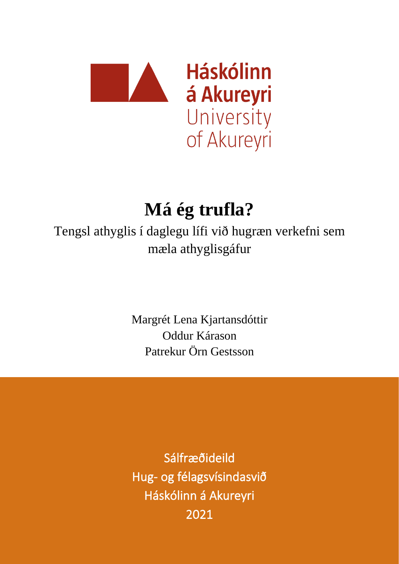

# **Má ég trufla?**

Tengsl athyglis í daglegu lífi við hugræn verkefni sem mæla athyglisgáfur

> Margrét Lena Kjartansdóttir Oddur Kárason Patrekur Örn Gestsson

> Sálfræðideild Hug- og félagsvísindasvið Háskólinn á Akureyri 2021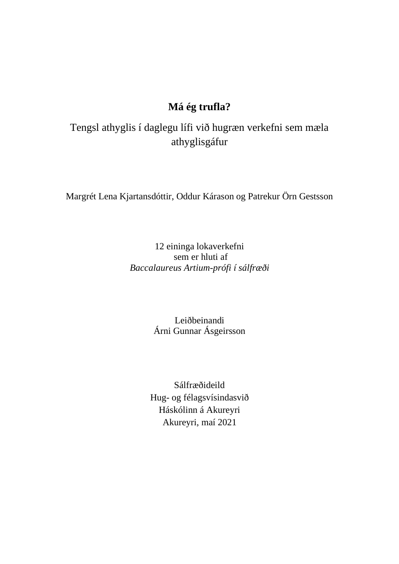# **Má ég trufla?**

Tengsl athyglis í daglegu lífi við hugræn verkefni sem mæla athyglisgáfur

Margrét Lena Kjartansdóttir, Oddur Kárason og Patrekur Örn Gestsson

12 eininga lokaverkefni sem er hluti af *Baccalaureus Artium-prófi í sálfræði*

> Leiðbeinandi Árni Gunnar Ásgeirsson

Sálfræðideild Hug- og félagsvísindasvið Háskólinn á Akureyri Akureyri, maí 2021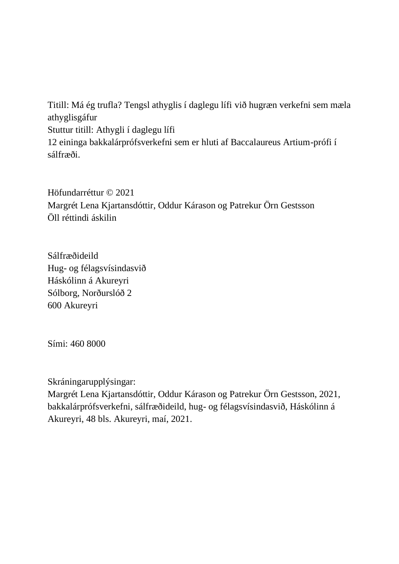Titill: Má ég trufla? Tengsl athyglis í daglegu lífi við hugræn verkefni sem mæla athyglisgáfur Stuttur titill: Athygli í daglegu lífi 12 eininga bakkalárprófsverkefni sem er hluti af Baccalaureus Artium-prófi í sálfræði.

Höfundarréttur © 2021 Margrét Lena Kjartansdóttir, Oddur Kárason og Patrekur Örn Gestsson Öll réttindi áskilin

Sálfræðideild Hug- og félagsvísindasvið Háskólinn á Akureyri Sólborg, Norðurslóð 2 600 Akureyri

Sími: 460 8000

Skráningarupplýsingar:

Margrét Lena Kjartansdóttir, Oddur Kárason og Patrekur Örn Gestsson, 2021, bakkalárprófsverkefni, sálfræðideild, hug- og félagsvísindasvið, Háskólinn á Akureyri, 48 bls. Akureyri, maí, 2021.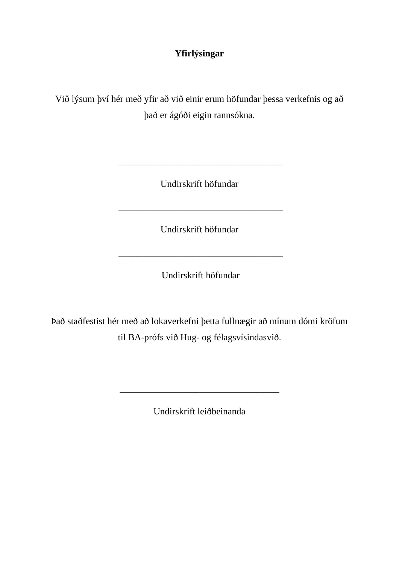# **Yfirlýsingar**

Við lýsum því hér með yfir að við einir erum höfundar þessa verkefnis og að það er ágóði eigin rannsókna.

Undirskrift höfundar

\_\_\_\_\_\_\_\_\_\_\_\_\_\_\_\_\_\_\_\_\_\_\_\_\_\_\_\_\_\_\_\_\_\_\_

Undirskrift höfundar

\_\_\_\_\_\_\_\_\_\_\_\_\_\_\_\_\_\_\_\_\_\_\_\_\_\_\_\_\_\_\_\_\_\_\_

Undirskrift höfundar

\_\_\_\_\_\_\_\_\_\_\_\_\_\_\_\_\_\_\_\_\_\_\_\_\_\_\_\_\_\_\_\_\_\_\_

Það staðfestist hér með að lokaverkefni þetta fullnægir að mínum dómi kröfum til BA-prófs við Hug- og félagsvísindasvið.

Undirskrift leiðbeinanda

\_\_\_\_\_\_\_\_\_\_\_\_\_\_\_\_\_\_\_\_\_\_\_\_\_\_\_\_\_\_\_\_\_\_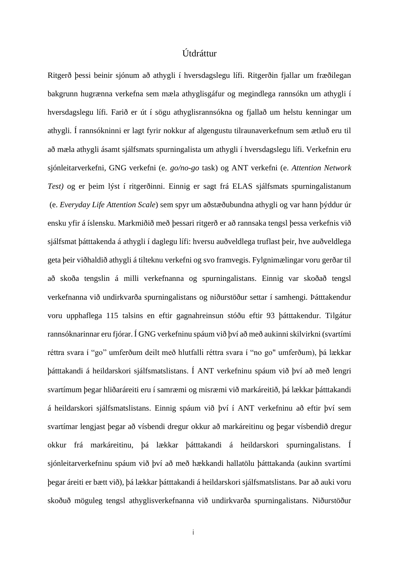# Útdráttur

Ritgerð þessi beinir sjónum að athygli í hversdagslegu lífi. Ritgerðin fjallar um fræðilegan bakgrunn hugrænna verkefna sem mæla athyglisgáfur og megindlega rannsókn um athygli í hversdagslegu lífi. Farið er út í sögu athyglisrannsókna og fjallað um helstu kenningar um athygli. Í rannsókninni er lagt fyrir nokkur af algengustu tilraunaverkefnum sem ætluð eru til að mæla athygli ásamt sjálfsmats spurningalista um athygli í hversdagslegu lífi. Verkefnin eru sjónleitarverkefni, GNG verkefni (e. *go/no-go* task) og ANT verkefni (e. *Attention Network Test)* og er þeim lýst í ritgerðinni. Einnig er sagt frá ELAS sjálfsmats spurningalistanum (e. *Everyday Life Attention Scale*) sem spyr um aðstæðubundna athygli og var hann þýddur úr ensku yfir á íslensku. Markmiðið með þessari ritgerð er að rannsaka tengsl þessa verkefnis við sjálfsmat þátttakenda á athygli í daglegu lífi: hversu auðveldlega truflast þeir, hve auðveldlega geta þeir viðhaldið athygli á tilteknu verkefni og svo framvegis. Fylgnimælingar voru gerðar til að skoða tengslin á milli verkefnanna og spurningalistans. Einnig var skoðað tengsl verkefnanna við undirkvarða spurningalistans og niðurstöður settar í samhengi. Þátttakendur voru upphaflega 115 talsins en eftir gagnahreinsun stóðu eftir 93 þátttakendur. Tilgátur rannsóknarinnar eru fjórar. Í GNG verkefninu spáum við því að með aukinni skilvirkni (svartími réttra svara í "go" umferðum deilt með hlutfalli réttra svara í "no go" umferðum), þá lækkar þátttakandi á heildarskori sjálfsmatslistans. Í ANT verkefninu spáum við því að með lengri svartímum þegar hliðaráreiti eru í samræmi og misræmi við markáreitið, þá lækkar þátttakandi á heildarskori sjálfsmatslistans. Einnig spáum við því í ANT verkefninu að eftir því sem svartímar lengjast þegar að vísbendi dregur okkur að markáreitinu og þegar vísbendið dregur okkur frá markáreitinu, þá lækkar þátttakandi á heildarskori spurningalistans. Í sjónleitarverkefninu spáum við því að með hækkandi hallatölu þátttakanda (aukinn svartími þegar áreiti er bætt við), þá lækkar þátttakandi á heildarskori sjálfsmatslistans. Þar að auki voru skoðuð möguleg tengsl athyglisverkefnanna við undirkvarða spurningalistans. Niðurstöður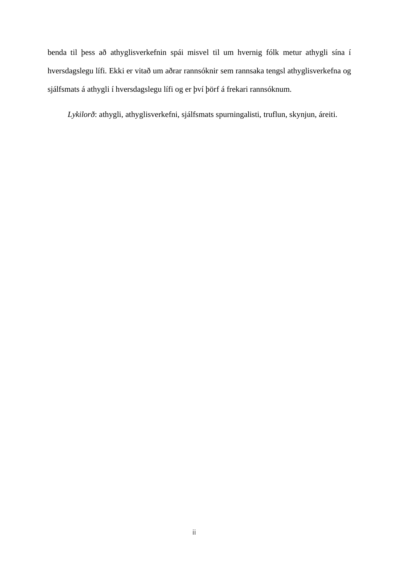benda til þess að athyglisverkefnin spái misvel til um hvernig fólk metur athygli sína í hversdagslegu lífi. Ekki er vitað um aðrar rannsóknir sem rannsaka tengsl athyglisverkefna og sjálfsmats á athygli í hversdagslegu lífi og er því þörf á frekari rannsóknum.

 *Lykilorð*: athygli, athyglisverkefni, sjálfsmats spurningalisti, truflun, skynjun, áreiti.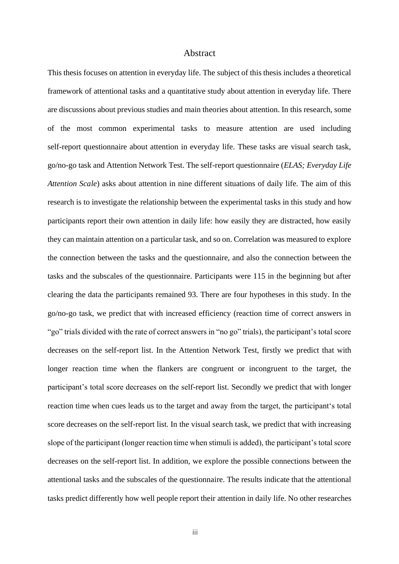#### Abstract

This thesis focuses on attention in everyday life. The subject of this thesis includes a theoretical framework of attentional tasks and a quantitative study about attention in everyday life. There are discussions about previous studies and main theories about attention. In this research, some of the most common experimental tasks to measure attention are used including self-report questionnaire about attention in everyday life. These tasks are visual search task, go/no-go task and Attention Network Test. The self-report questionnaire (*ELAS; Everyday Life Attention Scale*) asks about attention in nine different situations of daily life. The aim of this research is to investigate the relationship between the experimental tasks in this study and how participants report their own attention in daily life: how easily they are distracted, how easily they can maintain attention on a particular task, and so on. Correlation was measured to explore the connection between the tasks and the questionnaire, and also the connection between the tasks and the subscales of the questionnaire. Participants were 115 in the beginning but after clearing the data the participants remained 93. There are four hypotheses in this study. In the go/no-go task, we predict that with increased efficiency (reaction time of correct answers in "go" trials divided with the rate of correct answers in "no go" trials), the participant's total score decreases on the self-report list. In the Attention Network Test, firstly we predict that with longer reaction time when the flankers are congruent or incongruent to the target, the participant's total score decreases on the self-report list. Secondly we predict that with longer reaction time when cues leads us to the target and away from the target, the participant's total score decreases on the self-report list. In the visual search task, we predict that with increasing slope of the participant (longer reaction time when stimuli is added), the participant's total score decreases on the self-report list. In addition, we explore the possible connections between the attentional tasks and the subscales of the questionnaire. The results indicate that the attentional tasks predict differently how well people report their attention in daily life. No other researches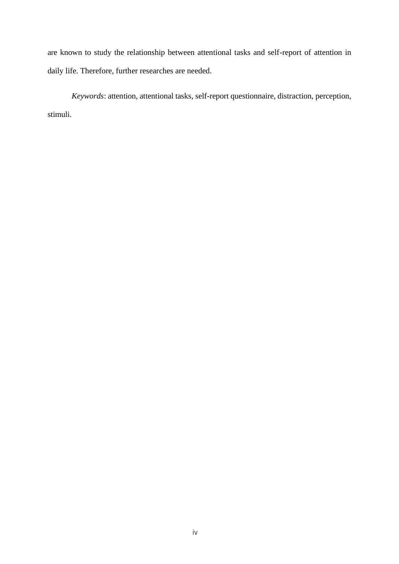are known to study the relationship between attentional tasks and self-report of attention in daily life. Therefore, further researches are needed.

*Keywords*: attention, attentional tasks, self-report questionnaire, distraction, perception, stimuli.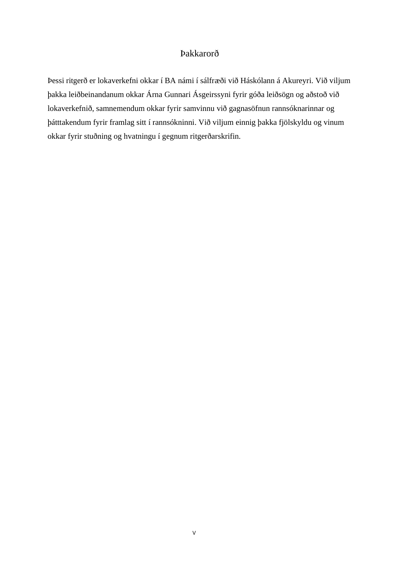# Þakkarorð

Þessi ritgerð er lokaverkefni okkar í BA námi í sálfræði við Háskólann á Akureyri. Við viljum þakka leiðbeinandanum okkar Árna Gunnari Ásgeirssyni fyrir góða leiðsögn og aðstoð við lokaverkefnið, samnemendum okkar fyrir samvinnu við gagnasöfnun rannsóknarinnar og þátttakendum fyrir framlag sitt í rannsókninni. Við viljum einnig þakka fjölskyldu og vinum okkar fyrir stuðning og hvatningu í gegnum ritgerðarskrifin.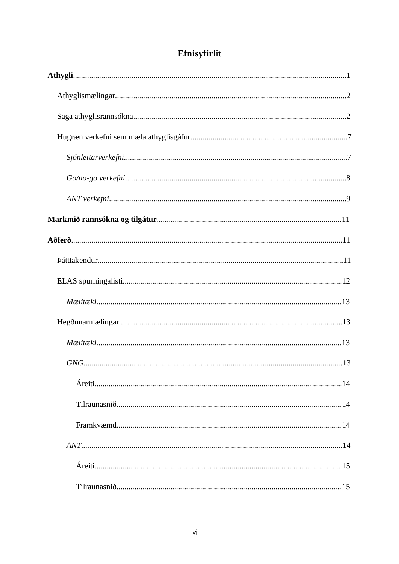| Efnisyfirlit |  |  |
|--------------|--|--|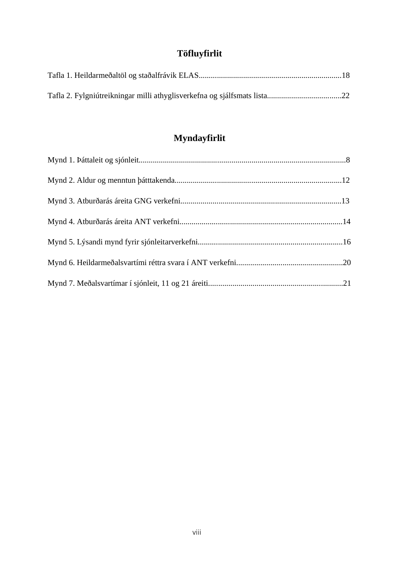# **Töfluyfirlit**

# **Myndayfirlit**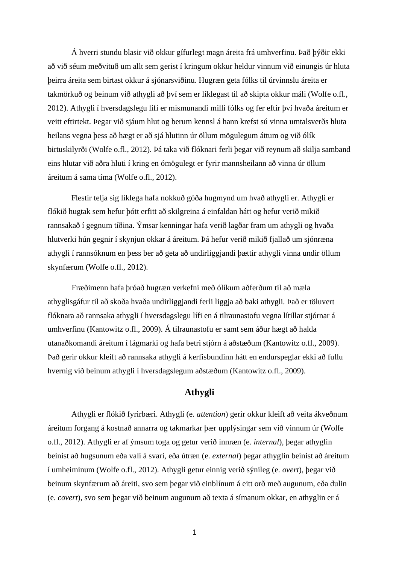Á hverri stundu blasir við okkur gífurlegt magn áreita frá umhverfinu. Það þýðir ekki að við séum meðvituð um allt sem gerist í kringum okkur heldur vinnum við einungis úr hluta þeirra áreita sem birtast okkur á sjónarsviðinu. Hugræn geta fólks til úrvinnslu áreita er takmörkuð og beinum við athygli að því sem er líklegast til að skipta okkur máli (Wolfe o.fl., 2012). Athygli í hversdagslegu lífi er mismunandi milli fólks og fer eftir því hvaða áreitum er veitt eftirtekt. Þegar við sjáum hlut og berum kennsl á hann krefst sú vinna umtalsverðs hluta heilans vegna þess að hægt er að sjá hlutinn úr öllum mögulegum áttum og við ólík birtuskilyrði (Wolfe o.fl., 2012). Þá taka við flóknari ferli þegar við reynum að skilja samband eins hlutar við aðra hluti í kring en ómögulegt er fyrir mannsheilann að vinna úr öllum áreitum á sama tíma (Wolfe o.fl., 2012).

Flestir telja sig líklega hafa nokkuð góða hugmynd um hvað athygli er. Athygli er flókið hugtak sem hefur þótt erfitt að skilgreina á einfaldan hátt og hefur verið mikið rannsakað í gegnum tíðina. Ýmsar kenningar hafa verið lagðar fram um athygli og hvaða hlutverki hún gegnir í skynjun okkar á áreitum. Þá hefur verið mikið fjallað um sjónræna athygli í rannsóknum en þess ber að geta að undirliggjandi þættir athygli vinna undir öllum skynfærum (Wolfe o.fl., 2012).

Fræðimenn hafa þróað hugræn verkefni með ólíkum aðferðum til að mæla athyglisgáfur til að skoða hvaða undirliggjandi ferli liggja að baki athygli. Það er töluvert flóknara að rannsaka athygli í hversdagslegu lífi en á tilraunastofu vegna lítillar stjórnar á umhverfinu (Kantowitz o.fl., 2009). Á tilraunastofu er samt sem áður hægt að halda utanaðkomandi áreitum í lágmarki og hafa betri stjórn á aðstæðum (Kantowitz o.fl., 2009). Það gerir okkur kleift að rannsaka athygli á kerfisbundinn hátt en endurspeglar ekki að fullu hvernig við beinum athygli í hversdagslegum aðstæðum (Kantowitz o.fl., 2009).

# **Athygli**

Athygli er flókið fyrirbæri. Athygli (e. *attention*) gerir okkur kleift að veita ákveðnum áreitum forgang á kostnað annarra og takmarkar þær upplýsingar sem við vinnum úr (Wolfe o.fl., 2012). Athygli er af ýmsum toga og getur verið innræn (e. *internal*), þegar athyglin beinist að hugsunum eða vali á svari, eða útræn (e. *external*) þegar athyglin beinist að áreitum í umheiminum (Wolfe o.fl., 2012). Athygli getur einnig verið sýnileg (e. *overt*), þegar við beinum skynfærum að áreiti, svo sem þegar við einblínum á eitt orð með augunum, eða dulin (e. *covert*), svo sem þegar við beinum augunum að texta á símanum okkar, en athyglin er á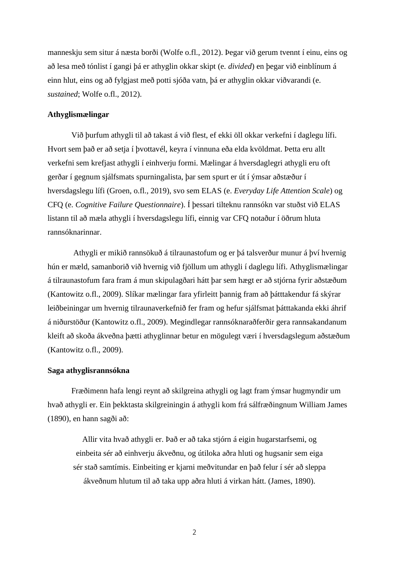manneskju sem situr á næsta borði (Wolfe o.fl., 2012). Þegar við gerum tvennt í einu, eins og að lesa með tónlist í gangi þá er athyglin okkar skipt (e. *divided*) en þegar við einblínum á einn hlut, eins og að fylgjast með potti sjóða vatn, þá er athyglin okkar viðvarandi (e. *sustained*; Wolfe o.fl., 2012).

#### **Athyglismælingar**

Við þurfum athygli til að takast á við flest, ef ekki öll okkar verkefni í daglegu lífi. Hvort sem það er að setja í þvottavél, keyra í vinnuna eða elda kvöldmat. Þetta eru allt verkefni sem krefjast athygli í einhverju formi. Mælingar á hversdaglegri athygli eru oft gerðar í gegnum sjálfsmats spurningalista, þar sem spurt er út í ýmsar aðstæður í hversdagslegu lífi (Groen, o.fl., 2019), svo sem ELAS (e. *Everyday Life Attention Scale*) og CFQ (e. *Cognitive Failure Questionnaire*). Í þessari tilteknu rannsókn var stuðst við ELAS listann til að mæla athygli í hversdagslegu lífi, einnig var CFQ notaður í öðrum hluta rannsóknarinnar.

Athygli er mikið rannsökuð á tilraunastofum og er þá talsverður munur á því hvernig hún er mæld, samanborið við hvernig við fjöllum um athygli í daglegu lífi. Athyglismælingar á tilraunastofum fara fram á mun skipulagðari hátt þar sem hægt er að stjórna fyrir aðstæðum (Kantowitz o.fl., 2009). Slíkar mælingar fara yfirleitt þannig fram að þátttakendur fá skýrar leiðbeiningar um hvernig tilraunaverkefnið fer fram og hefur sjálfsmat þátttakanda ekki áhrif á niðurstöður (Kantowitz o.fl., 2009). Megindlegar rannsóknaraðferðir gera rannsakandanum kleift að skoða ákveðna þætti athyglinnar betur en mögulegt væri í hversdagslegum aðstæðum (Kantowitz o.fl., 2009).

#### **Saga athyglisrannsókna**

Fræðimenn hafa lengi reynt að skilgreina athygli og lagt fram ýmsar hugmyndir um hvað athygli er. Ein þekktasta skilgreiningin á athygli kom frá sálfræðingnum William James (1890), en hann sagði að:

Allir vita hvað athygli er. Það er að taka stjórn á eigin hugarstarfsemi, og einbeita sér að einhverju ákveðnu, og útiloka aðra hluti og hugsanir sem eiga sér stað samtímis. Einbeiting er kjarni meðvitundar en það felur í sér að sleppa ákveðnum hlutum til að taka upp aðra hluti á virkan hátt. (James, 1890).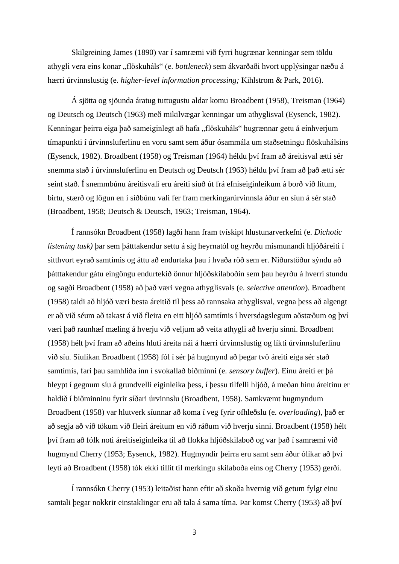Skilgreining James (1890) var í samræmi við fyrri hugrænar kenningar sem töldu athygli vera eins konar "flöskuháls" (e. *bottleneck*) sem ákvarðaði hvort upplýsingar næðu á hærri úrvinnslustig (e. *higher-level information processing;* Kihlstrom & Park, 2016).

Á sjötta og sjöunda áratug tuttugustu aldar komu Broadbent (1958), Treisman (1964) og Deutsch og Deutsch (1963) með mikilvægar kenningar um athyglisval (Eysenck, 1982). Kenningar þeirra eiga það sameiginlegt að hafa "flöskuháls" hugrænnar getu á einhverjum tímapunkti í úrvinnsluferlinu en voru samt sem áður ósammála um staðsetningu flöskuhálsins (Eysenck, 1982). Broadbent (1958) og Treisman (1964) héldu því fram að áreitisval ætti sér snemma stað í úrvinnsluferlinu en Deutsch og Deutsch (1963) héldu því fram að það ætti sér seint stað. Í snemmbúnu áreitisvali eru áreiti síuð út frá efniseiginleikum á borð við litum, birtu, stærð og lögun en í síðbúnu vali fer fram merkingarúrvinnsla áður en síun á sér stað (Broadbent, 1958; Deutsch & Deutsch, 1963; Treisman, 1964).

Í rannsókn Broadbent (1958) lagði hann fram tvískipt hlustunarverkefni (e. *Dichotic listening task)* þar sem þátttakendur settu á sig heyrnatól og heyrðu mismunandi hljóðáreiti í sitthvort eyrað samtímis og áttu að endurtaka þau í hvaða röð sem er. Niðurstöður sýndu að þátttakendur gátu eingöngu endurtekið önnur hljóðskilaboðin sem þau heyrðu á hverri stundu og sagði Broadbent (1958) að það væri vegna athyglisvals (e. *selective attention*). Broadbent (1958) taldi að hljóð væri besta áreitið til þess að rannsaka athyglisval, vegna þess að algengt er að við séum að takast á við fleira en eitt hljóð samtímis í hversdagslegum aðstæðum og því væri það raunhæf mæling á hverju við veljum að veita athygli að hverju sinni. Broadbent (1958) hélt því fram að aðeins hluti áreita nái á hærri úrvinnslustig og líkti úrvinnsluferlinu við síu. Síulíkan Broadbent (1958) fól í sér þá hugmynd að þegar tvö áreiti eiga sér stað samtímis, fari þau samhliða inn í svokallað biðminni (e. *sensory buffer*). Einu áreiti er þá hleypt í gegnum síu á grundvelli eiginleika þess, í þessu tilfelli hljóð, á meðan hinu áreitinu er haldið í biðminninu fyrir síðari úrvinnslu (Broadbent, 1958). Samkvæmt hugmyndum Broadbent (1958) var hlutverk síunnar að koma í veg fyrir ofhleðslu (e. *overloading*), það er að segja að við tökum við fleiri áreitum en við ráðum við hverju sinni. Broadbent (1958) hélt því fram að fólk noti áreitiseiginleika til að flokka hljóðskilaboð og var það í samræmi við hugmynd Cherry (1953; Eysenck, 1982). Hugmyndir þeirra eru samt sem áður ólíkar að því leyti að Broadbent (1958) tók ekki tillit til merkingu skilaboða eins og Cherry (1953) gerði.

Í rannsókn Cherry (1953) leitaðist hann eftir að skoða hvernig við getum fylgt einu samtali þegar nokkrir einstaklingar eru að tala á sama tíma. Þar komst Cherry (1953) að því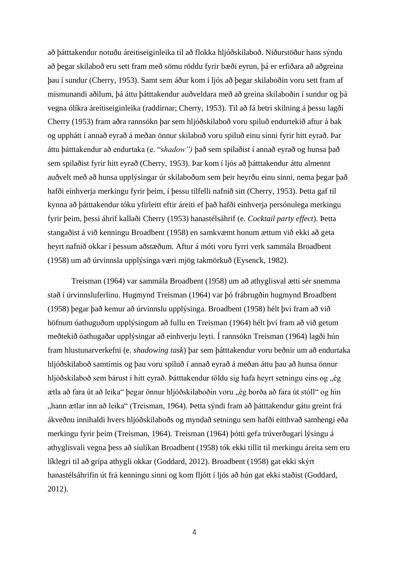að þátttakendur notuðu áreitiseiginleika til að flokka hljóðskilaboð. Niðurstöður hans sýndu að þegar skilaboð eru sett fram með sömu röddu fyrir bæði eyrun, þá er erfiðara að aðgreina þau í sundur (Cherry, 1953). Samt sem áður kom í ljós að þegar skilaboðin voru sett fram af mismunandi aðilum, þá áttu þátttakendur auðveldara með að greina skilaboðin í sundur og þá vegna ólíkra áreitiseiginleika (raddirnar; Cherry, 1953). Til að fá betri skilning á þessu lagði Cherry (1953) fram aðra rannsókn þar sem hljóðskilaboð voru spiluð endurtekið aftur á bak og upphátt í annað eyrað á meðan önnur skilaboð voru spiluð einu sinni fyrir hitt eyrað. Þar áttu þátttakendur að endurtaka (e. "s*hadow")* það sem spilaðist í annað eyrað og hunsa það sem spilaðist fyrir hitt eyrað (Cherry, 1953). Þar kom í ljós að þátttakendur áttu almennt auðvelt með að hunsa upplýsingar úr skilaboðum sem þeir heyrðu einu sinni, nema þegar það hafði einhverja merkingu fyrir þeim, í þessu tilfelli nafnið sitt (Cherry, 1953). Þetta gaf til kynna að þátttakendur tóku yfirleitt eftir áreiti ef það hafði einhverja persónulega merkingu fyrir þeim, þessi áhrif kallaði Cherry (1953) hanastélsáhrif (e. *Cocktail party effect*). Þetta stangaðist á við kenningu Broadbent (1958) en samkvæmt honum ættum við ekki að geta heyrt nafnið okkar í þessum aðstæðum. Aftur á móti voru fyrri verk sammála Broadbent (1958) um að úrvinnsla upplýsinga væri mjög takmörkuð (Eysenck, 1982).

Treisman (1964) var sammála Broadbent (1958) um að athyglisval ætti sér snemma stað í úrvinnsluferlinu. Hugmynd Treisman (1964) var þó frábrugðin hugmynd Broadbent (1958) þegar það kemur að úrvinnslu upplýsinga. Broadbent (1958) hélt því fram að við höfnum óathuguðum upplýsingum að fullu en Treisman (1964) hélt því fram að við getum meðtekið óathugaðar upplýsingar að einhverju leyti. Í rannsókn Treisman (1964) lagði hún fram hlustunarverkefni (e. *shadowing task*) þar sem þátttakendur voru beðnir um að endurtaka hljóðskilaboð samtímis og þau voru spiluð í annað eyrað á meðan áttu þau að hunsa önnur hljóðskilaboð sem bárust í hitt eyrað. Þátttakendur töldu sig hafa heyrt setningu eins og "ég ætla að fara út að leika" þegar önnur hljóðskilaboðin voru "ég borða að fara út stóll" og hin "hann ætlar inn að leika" (Treisman, 1964). Þetta sýndi fram að þátttakendur gátu greint frá ákveðnu innihaldi hvers hljóðskilaboðs og myndað setningu sem hafði eitthvað samhengi eða merkingu fyrir þeim (Treisman, 1964). Treisman (1964) þótti gefa trúverðugari lýsingu á athyglisvali vegna þess að síulíkan Broadbent (1958) tók ekki tillit til merkingu áreita sem eru líklegri til að grípa athygli okkar (Goddard, 2012). Broadbent (1958) gat ekki skýrt hanastélsáhrifin út frá kenningu sinni og kom fljótt í ljós að hún gat ekki staðist (Goddard, 2012).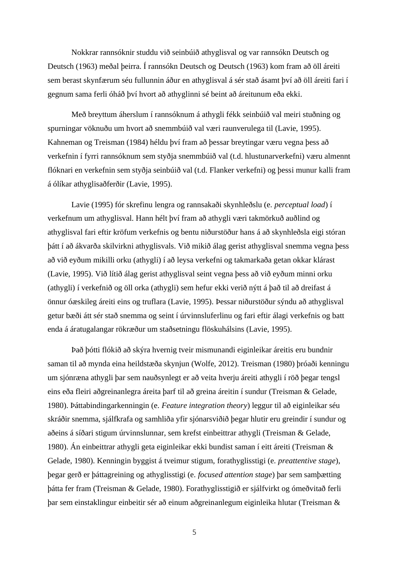Nokkrar rannsóknir studdu við seinbúið athyglisval og var rannsókn Deutsch og Deutsch (1963) meðal þeirra. Í rannsókn Deutsch og Deutsch (1963) kom fram að öll áreiti sem berast skynfærum séu fullunnin áður en athyglisval á sér stað ásamt því að öll áreiti fari í gegnum sama ferli óháð því hvort að athyglinni sé beint að áreitunum eða ekki.

Með breyttum áherslum í rannsóknum á athygli fékk seinbúið val meiri stuðning og spurningar vöknuðu um hvort að snemmbúið val væri raunverulega til (Lavie, 1995). Kahneman og Treisman (1984) héldu því fram að þessar breytingar væru vegna þess að verkefnin í fyrri rannsóknum sem styðja snemmbúið val (t.d. hlustunarverkefni) væru almennt flóknari en verkefnin sem styðja seinbúið val (t.d. Flanker verkefni) og þessi munur kalli fram á ólíkar athyglisaðferðir (Lavie, 1995).

Lavie (1995) fór skrefinu lengra og rannsakaði skynhleðslu (e. *perceptual load*) í verkefnum um athyglisval. Hann hélt því fram að athygli væri takmörkuð auðlind og athyglisval fari eftir kröfum verkefnis og bentu niðurstöður hans á að skynhleðsla eigi stóran þátt í að ákvarða skilvirkni athyglisvals. Við mikið álag gerist athyglisval snemma vegna þess að við eyðum mikilli orku (athygli) í að leysa verkefni og takmarkaða getan okkar klárast (Lavie, 1995). Við lítið álag gerist athyglisval seint vegna þess að við eyðum minni orku (athygli) í verkefnið og öll orka (athygli) sem hefur ekki verið nýtt á það til að dreifast á önnur óæskileg áreiti eins og truflara (Lavie, 1995). Þessar niðurstöður sýndu að athyglisval getur bæði átt sér stað snemma og seint í úrvinnsluferlinu og fari eftir álagi verkefnis og batt enda á áratugalangar rökræður um staðsetningu flöskuhálsins (Lavie, 1995).

Það þótti flókið að skýra hvernig tveir mismunandi eiginleikar áreitis eru bundnir saman til að mynda eina heildstæða skynjun (Wolfe, 2012). Treisman (1980) þróaði kenningu um sjónræna athygli þar sem nauðsynlegt er að veita hverju áreiti athygli í röð þegar tengsl eins eða fleiri aðgreinanlegra áreita þarf til að greina áreitin í sundur (Treisman & Gelade, 1980). Þáttabindingarkenningin (e. *Feature integration theory*) leggur til að eiginleikar séu skráðir snemma, sjálfkrafa og samhliða yfir sjónarsviðið þegar hlutir eru greindir í sundur og aðeins á síðari stigum úrvinnslunnar, sem krefst einbeittrar athygli (Treisman & Gelade, 1980). Án einbeittrar athygli geta eiginleikar ekki bundist saman í eitt áreiti (Treisman & Gelade, 1980). Kenningin byggist á tveimur stigum, forathyglisstigi (e. *preattentive stage*), þegar gerð er þáttagreining og athyglisstigi (e. *focused attention stage*) þar sem samþætting þátta fer fram (Treisman & Gelade, 1980). Forathyglisstigið er sjálfvirkt og ómeðvitað ferli þar sem einstaklingur einbeitir sér að einum aðgreinanlegum eiginleika hlutar (Treisman &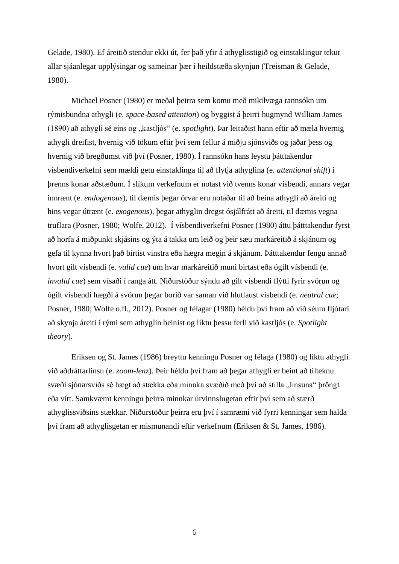Gelade, 1980). Ef áreitið stendur ekki út, fer það yfir á athyglisstigið og einstaklingur tekur allar sjáanlegar upplýsingar og sameinar þær í heildstæða skynjun (Treisman & Gelade, 1980).

Michael Posner (1980) er meðal þeirra sem komu með mikilvæga rannsókn um rýmisbundna athygli (e. *space-based attention*) og byggist á þeirri hugmynd William James (1890) að athygli sé eins og "kastljós" (e. *spotlight*). Þar leitaðist hann eftir að mæla hvernig athygli dreifist, hvernig við tökum eftir því sem fellur á miðju sjónsviðs og jaðar þess og hvernig við bregðumst við því (Posner, 1980). Í rannsókn hans leystu þátttakendur vísbendiverkefni sem mældi getu einstaklinga til að flytja athyglina (e. *attentional shift*) í þrenns konar aðstæðum. Í slíkum verkefnum er notast við tvenns konar vísbendi, annars vegar innrænt (e. *endogenous*), til dæmis þegar örvar eru notaðar til að beina athygli að áreiti og hins vegar útrænt (e. *exogenous*), þegar athyglin dregst ósjálfrátt að áreiti, til dæmis vegna truflara (Posner, 1980; Wolfe, 2012). Í vísbendiverkefni Posner (1980) áttu þátttakendur fyrst að horfa á miðpunkt skjásins og ýta á takka um leið og þeir sæu markáreitið á skjánum og gefa til kynna hvort það birtist vinstra eða hægra megin á skjánum. Þátttakendur fengu annað hvort gilt vísbendi (e. *valid cue*) um hvar markáreitið muni birtast eða ógilt vísbendi (e. *invalid cue*) sem vísaði í ranga átt. Niðurstöður sýndu að gilt vísbendi flýtti fyrir svörun og ógilt vísbendi hægði á svörun þegar borið var saman við hlutlaust vísbendi (e. *neutral cue*; Posner, 1980; Wolfe o.fl., 2012). Posner og félagar (1980) héldu því fram að við séum fljótari að skynja áreiti í rými sem athyglin beinist og líktu þessu ferli við kastljós (e. *Spotlight theory*).

Eriksen og St. James (1986) breyttu kenningu Posner og félaga (1980) og líktu athygli við aðdráttarlinsu (e. *zoom-lenz*). Þeir héldu því fram að þegar athygli er beint að tilteknu svæði sjónarsviðs sé hægt að stækka eða minnka svæðið með því að stilla "linsuna" þröngt eða vítt. Samkvæmt kenningu þeirra minnkar úrvinnslugetan eftir því sem að stærð athyglissviðsins stækkar. Niðurstöður þeirra eru því í samræmi við fyrri kenningar sem halda því fram að athyglisgetan er mismunandi eftir verkefnum (Eriksen & St. James, 1986).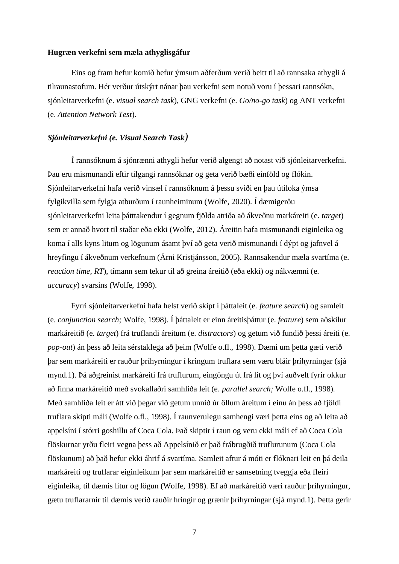#### **Hugræn verkefni sem mæla athyglisgáfur**

Eins og fram hefur komið hefur ýmsum aðferðum verið beitt til að rannsaka athygli á tilraunastofum. Hér verður útskýrt nánar þau verkefni sem notuð voru í þessari rannsókn, sjónleitarverkefni (e. *visual search task*), GNG verkefni (e. *Go/no-go task*) og ANT verkefni (e. *Attention Network Test*).

#### *Sjónleitarverkefni (e. Visual Search Task)*

Í rannsóknum á sjónrænni athygli hefur verið algengt að notast við sjónleitarverkefni. Þau eru mismunandi eftir tilgangi rannsóknar og geta verið bæði einföld og flókin. Sjónleitarverkefni hafa verið vinsæl í rannsóknum á þessu sviði en þau útiloka ýmsa fylgikvilla sem fylgja atburðum í raunheiminum (Wolfe, 2020). Í dæmigerðu sjónleitarverkefni leita þátttakendur í gegnum fjölda atriða að ákveðnu markáreiti (e. *target*) sem er annað hvort til staðar eða ekki (Wolfe, 2012). Áreitin hafa mismunandi eiginleika og koma í alls kyns litum og lögunum ásamt því að geta verið mismunandi í dýpt og jafnvel á hreyfingu í ákveðnum verkefnum (Árni Kristjánsson, 2005). Rannsakendur mæla svartíma (e. *reaction time, RT*), tímann sem tekur til að greina áreitið (eða ekki) og nákvæmni (e. *accuracy*) svarsins (Wolfe, 1998).

Fyrri sjónleitarverkefni hafa helst verið skipt í þáttaleit (e. *feature search*) og samleit (e. *conjunction search;* Wolfe, 1998). Í þáttaleit er einn áreitisþáttur (e. *feature*) sem aðskilur markáreitið (e. *target*) frá truflandi áreitum (e. *distractors*) og getum við fundið þessi áreiti (e. *pop-out*) án þess að leita sérstaklega að þeim (Wolfe o.fl., 1998). Dæmi um þetta gæti verið þar sem markáreiti er rauður þríhyrningur í kringum truflara sem væru bláir þríhyrningar (sjá mynd.1). Þá aðgreinist markáreiti frá truflurum, eingöngu út frá lit og því auðvelt fyrir okkur að finna markáreitið með svokallaðri samhliða leit (e. *parallel search;* Wolfe o.fl., 1998)*.*  Með samhliða leit er átt við þegar við getum unnið úr öllum áreitum í einu án þess að fjöldi truflara skipti máli (Wolfe o.fl., 1998). Í raunverulegu samhengi væri þetta eins og að leita að appelsíni í stórri goshillu af Coca Cola. Það skiptir í raun og veru ekki máli ef að Coca Cola flöskurnar yrðu fleiri vegna þess að Appelsínið er það frábrugðið truflurunum (Coca Cola flöskunum) að það hefur ekki áhrif á svartíma. Samleit aftur á móti er flóknari leit en þá deila markáreiti og truflarar eiginleikum þar sem markáreitið er samsetning tveggja eða fleiri eiginleika, til dæmis litur og lögun (Wolfe, 1998). Ef að markáreitið væri rauður þríhyrningur, gætu truflararnir til dæmis verið rauðir hringir og grænir þríhyrningar (sjá mynd.1). Þetta gerir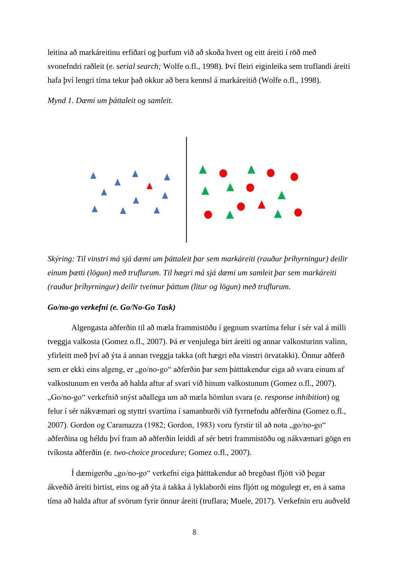leitina að markáreitinu erfiðari og þurfum við að skoða hvert og eitt áreiti í röð með svonefndri raðleit (e. s*erial search;* Wolfe o.fl., 1998). Því fleiri eiginleika sem truflandi áreiti hafa því lengri tíma tekur það okkur að bera kennsl á markáreitið (Wolfe o.fl., 1998).





*Skýring: Til vinstri má sjá dæmi um þáttaleit þar sem markáreiti (rauður þríhyrningur) deilir einum þætti (lögun) með truflurum. Til hægri má sjá dæmi um samleit þar sem markáreiti (rauður þríhyrningur) deilir tveimur þáttum (litur og lögun) með truflurum.*

#### *Go/no-go verkefni (e. Go/No-Go Task)*

Algengasta aðferðin til að mæla frammistöðu í gegnum svartíma felur í sér val á milli tveggja valkosta (Gomez o.fl., 2007). Þá er venjulega birt áreiti og annar valkosturinn valinn, yfirleitt með því að ýta á annan tveggja takka (oft hægri eða vinstri örvatakki). Önnur aðferð sem er ekki eins algeng, er "go/no-go" aðferðin þar sem þátttakendur eiga að svara einum af valkostunum en verða að halda aftur af svari við hinum valkostunum (Gomez o.fl., 2007). "Go/no-go" verkefnið snýst aðallega um að mæla hömlun svara (e. *response inhibition*) og felur í sér nákvæmari og styttri svartíma í samanburði við fyrrnefndu aðferðina (Gomez o.fl., 2007). Gordon og Caramazza (1982; Gordon, 1983) voru fyrstir til að nota "go/no-go" aðferðina og héldu því fram að aðferðin leiddi af sér betri frammistöðu og nákvæmari gögn en tvíkosta aðferðin (e. *two-choice procedure*; Gomez o.fl., 2007).

Í dæmigerðu "go/no-go" verkefni eiga þátttakendur að bregðast fljótt við þegar ákveðið áreiti birtist, eins og að ýta á takka á lyklaborði eins fljótt og mögulegt er, en á sama tíma að halda aftur af svörum fyrir önnur áreiti (truflara; Muele, 2017). Verkefnin eru auðveld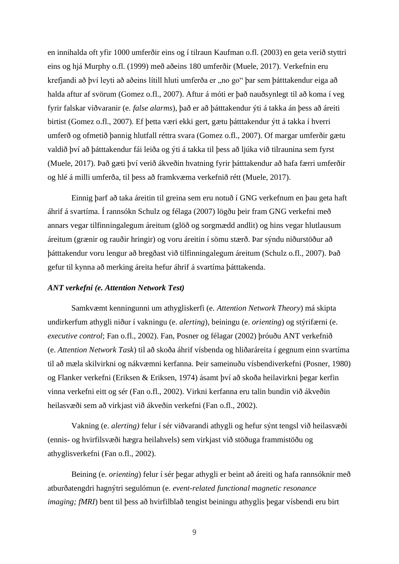en innihalda oft yfir 1000 umferðir eins og í tilraun Kaufman o.fl. (2003) en geta verið styttri eins og hjá Murphy o.fl. (1999) með aðeins 180 umferðir (Muele, 2017). Verkefnin eru krefjandi að því leyti að aðeins lítill hluti umferða er "no go" þar sem þátttakendur eiga að halda aftur af svörum (Gomez o.fl., 2007). Aftur á móti er það nauðsynlegt til að koma í veg fyrir falskar viðvaranir (e. *false alarms*), það er að þátttakendur ýti á takka án þess að áreiti birtist (Gomez o.fl., 2007). Ef þetta væri ekki gert, gætu þátttakendur ýtt á takka í hverri umferð og ofmetið þannig hlutfall réttra svara (Gomez o.fl., 2007). Of margar umferðir gætu valdið því að þátttakendur fái leiða og ýti á takka til þess að ljúka við tilraunina sem fyrst (Muele, 2017). Það gæti því verið ákveðin hvatning fyrir þátttakendur að hafa færri umferðir og hlé á milli umferða, til þess að framkvæma verkefnið rétt (Muele, 2017).

Einnig þarf að taka áreitin til greina sem eru notuð í GNG verkefnum en þau geta haft áhrif á svartíma. Í rannsókn Schulz og félaga (2007) lögðu þeir fram GNG verkefni með annars vegar tilfinningalegum áreitum (glöð og sorgmædd andlit) og hins vegar hlutlausum áreitum (grænir og rauðir hringir) og voru áreitin í sömu stærð. Þar sýndu niðurstöður að þátttakendur voru lengur að bregðast við tilfinningalegum áreitum (Schulz o.fl., 2007). Það gefur til kynna að merking áreita hefur áhrif á svartíma þátttakenda.

#### *ANT verkefni (e. Attention Network Test)*

Samkvæmt kenningunni um athygliskerfi (e. *Attention Network Theory*) má skipta undirkerfum athygli niður í vakningu (e. *alerting*), beiningu (e. *orienting*) og stýrifærni (e. *executive control*; Fan o.fl., 2002). Fan, Posner og félagar (2002) þróuðu ANT verkefnið (e. *Attention Network Task*) til að skoða áhrif vísbenda og hliðaráreita í gegnum einn svartíma til að mæla skilvirkni og nákvæmni kerfanna. Þeir sameinuðu vísbendiverkefni (Posner, 1980) og Flanker verkefni (Eriksen & Eriksen, 1974) ásamt því að skoða heilavirkni þegar kerfin vinna verkefni eitt og sér (Fan o.fl., 2002). Virkni kerfanna eru talin bundin við ákveðin heilasvæði sem að virkjast við ákveðin verkefni (Fan o.fl., 2002).

Vakning (e. *alerting)* felur í sér viðvarandi athygli og hefur sýnt tengsl við heilasvæði (ennis- og hvirfilsvæði hægra heilahvels) sem virkjast við stöðuga frammistöðu og athyglisverkefni (Fan o.fl., 2002).

Beining (e. *orienting*) felur í sér þegar athygli er beint að áreiti og hafa rannsóknir með atburðatengdri hagnýtri segulómun (e. *event-related functional magnetic resonance imaging; fMRI*) bent til þess að hvirfilblað tengist beiningu athyglis þegar vísbendi eru birt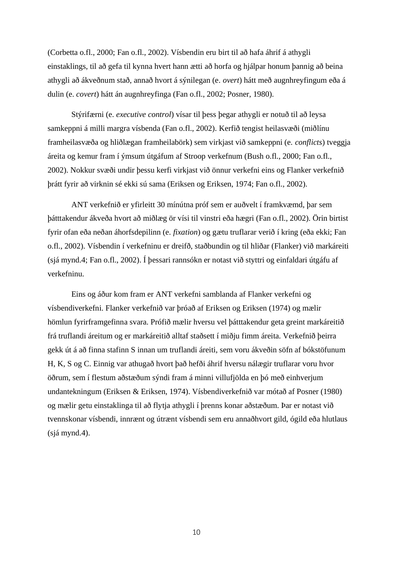(Corbetta o.fl., 2000; Fan o.fl., 2002). Vísbendin eru birt til að hafa áhrif á athygli einstaklings, til að gefa til kynna hvert hann ætti að horfa og hjálpar honum þannig að beina athygli að ákveðnum stað, annað hvort á sýnilegan (e. *overt*) hátt með augnhreyfingum eða á dulin (e. *covert*) hátt án augnhreyfinga (Fan o.fl., 2002; Posner, 1980).

Stýrifærni (e. *executive control*) vísar til þess þegar athygli er notuð til að leysa samkeppni á milli margra vísbenda (Fan o.fl., 2002). Kerfið tengist heilasvæði (miðlínu framheilasvæða og hliðlægan framheilabörk) sem virkjast við samkeppni (e. *conflicts*) tveggja áreita og kemur fram í ýmsum útgáfum af Stroop verkefnum (Bush o.fl., 2000; Fan o.fl., 2002). Nokkur svæði undir þessu kerfi virkjast við önnur verkefni eins og Flanker verkefnið þrátt fyrir að virknin sé ekki sú sama (Eriksen og Eriksen, 1974; Fan o.fl., 2002).

ANT verkefnið er yfirleitt 30 mínútna próf sem er auðvelt í framkvæmd, þar sem þátttakendur ákveða hvort að miðlæg ör vísi til vinstri eða hægri (Fan o.fl., 2002). Örin birtist fyrir ofan eða neðan áhorfsdepilinn (e. *fixation*) og gætu truflarar verið í kring (eða ekki; Fan o.fl., 2002). Vísbendin í verkefninu er dreifð, staðbundin og til hliðar (Flanker) við markáreiti (sjá mynd.4; Fan o.fl., 2002). Í þessari rannsókn er notast við styttri og einfaldari útgáfu af verkefninu.

Eins og áður kom fram er ANT verkefni samblanda af Flanker verkefni og vísbendiverkefni. Flanker verkefnið var þróað af Eriksen og Eriksen (1974) og mælir hömlun fyrirframgefinna svara. Prófið mælir hversu vel þátttakendur geta greint markáreitið frá truflandi áreitum og er markáreitið alltaf staðsett í miðju fimm áreita. Verkefnið þeirra gekk út á að finna stafinn S innan um truflandi áreiti, sem voru ákveðin söfn af bókstöfunum H, K, S og C. Einnig var athugað hvort það hefði áhrif hversu nálægir truflarar voru hvor öðrum, sem í flestum aðstæðum sýndi fram á minni villufjölda en þó með einhverjum undantekningum (Eriksen & Eriksen, 1974). Vísbendiverkefnið var mótað af Posner (1980) og mælir getu einstaklinga til að flytja athygli í þrenns konar aðstæðum. Þar er notast við tvennskonar vísbendi, innrænt og útrænt vísbendi sem eru annaðhvort gild, ógild eða hlutlaus (sjá mynd.4).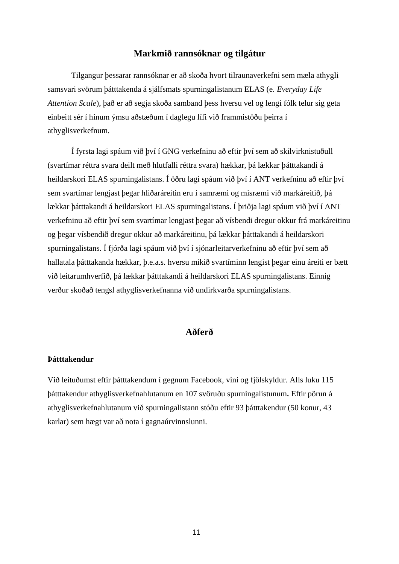# **Markmið rannsóknar og tilgátur**

Tilgangur þessarar rannsóknar er að skoða hvort tilraunaverkefni sem mæla athygli samsvari svörum þátttakenda á sjálfsmats spurningalistanum ELAS (e. *Everyday Life Attention Scale*), það er að segja skoða samband þess hversu vel og lengi fólk telur sig geta einbeitt sér í hinum ýmsu aðstæðum í daglegu lífi við frammistöðu þeirra í athyglisverkefnum.

Í fyrsta lagi spáum við því í GNG verkefninu að eftir því sem að skilvirknistuðull (svartímar réttra svara deilt með hlutfalli réttra svara) hækkar, þá lækkar þátttakandi á heildarskori ELAS spurningalistans. Í öðru lagi spáum við því í ANT verkefninu að eftir því sem svartímar lengjast þegar hliðaráreitin eru í samræmi og misræmi við markáreitið, þá lækkar þátttakandi á heildarskori ELAS spurningalistans. Í þriðja lagi spáum við því í ANT verkefninu að eftir því sem svartímar lengjast þegar að vísbendi dregur okkur frá markáreitinu og þegar vísbendið dregur okkur að markáreitinu, þá lækkar þátttakandi á heildarskori spurningalistans. Í fjórða lagi spáum við því í sjónarleitarverkefninu að eftir því sem að hallatala þátttakanda hækkar, þ.e.a.s. hversu mikið svartíminn lengist þegar einu áreiti er bætt við leitarumhverfið, þá lækkar þátttakandi á heildarskori ELAS spurningalistans. Einnig verður skoðað tengsl athyglisverkefnanna við undirkvarða spurningalistans.

## **Aðferð**

#### **Þátttakendur**

Við leituðumst eftir þátttakendum í gegnum Facebook, vini og fjölskyldur. Alls luku 115 þátttakendur athyglisverkefnahlutanum en 107 svöruðu spurningalistunum**.** Eftir pörun á athyglisverkefnahlutanum við spurningalistann stóðu eftir 93 þátttakendur (50 konur, 43 karlar) sem hægt var að nota í gagnaúrvinnslunni.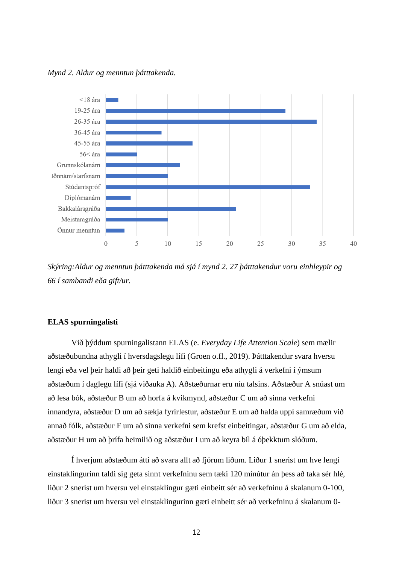



*Skýring:Aldur og menntun þátttakenda má sjá í mynd 2. 27 þátttakendur voru einhleypir og 66 í sambandi eða gift/ur.* 

#### **ELAS spurningalisti**

Við þýddum spurningalistann ELAS (e. *Everyday Life Attention Scale*) sem mælir aðstæðubundna athygli í hversdagslegu lífi (Groen o.fl., 2019). Þátttakendur svara hversu lengi eða vel þeir haldi að þeir geti haldið einbeitingu eða athygli á verkefni í ýmsum aðstæðum í daglegu lífi (sjá viðauka A). Aðstæðurnar eru níu talsins. Aðstæður A snúast um að lesa bók, aðstæður B um að horfa á kvikmynd, aðstæður C um að sinna verkefni innandyra, aðstæður D um að sækja fyrirlestur, aðstæður E um að halda uppi samræðum við annað fólk, aðstæður F um að sinna verkefni sem krefst einbeitingar, aðstæður G um að elda, aðstæður H um að þrífa heimilið og aðstæður I um að keyra bíl á óþekktum slóðum.

Í hverjum aðstæðum átti að svara allt að fjórum liðum. Liður 1 snerist um hve lengi einstaklingurinn taldi sig geta sinnt verkefninu sem tæki 120 mínútur án þess að taka sér hlé, liður 2 snerist um hversu vel einstaklingur gæti einbeitt sér að verkefninu á skalanum 0-100, liður 3 snerist um hversu vel einstaklingurinn gæti einbeitt sér að verkefninu á skalanum 0-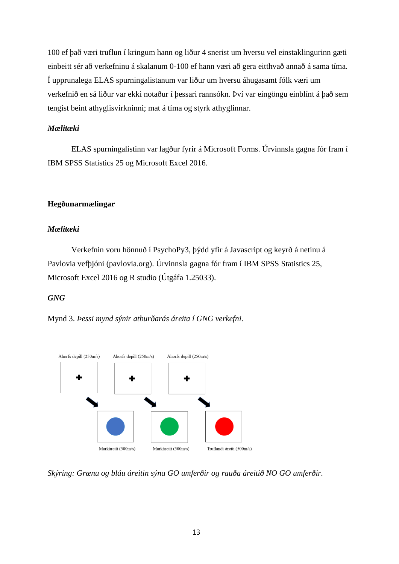100 ef það væri truflun í kringum hann og liður 4 snerist um hversu vel einstaklingurinn gæti einbeitt sér að verkefninu á skalanum 0-100 ef hann væri að gera eitthvað annað á sama tíma. Í upprunalega ELAS spurningalistanum var liður um hversu áhugasamt fólk væri um verkefnið en sá liður var ekki notaður í þessari rannsókn. Því var eingöngu einblínt á það sem tengist beint athyglisvirkninni; mat á tíma og styrk athyglinnar.

# *Mælitæki*

ELAS spurningalistinn var lagður fyrir á Microsoft Forms. Úrvinnsla gagna fór fram í IBM SPSS Statistics 25 og Microsoft Excel 2016.

# **Hegðunarmælingar**

# *Mælitæki*

Verkefnin voru hönnuð í PsychoPy3, þýdd yfir á Javascript og keyrð á netinu á Pavlovia vefþjóni (pavlovia.org). Úrvinnsla gagna fór fram í IBM SPSS Statistics 25, Microsoft Excel 2016 og R studio (Útgáfa 1.25033).

# *GNG*

Mynd 3. *Þessi mynd sýnir atburðarás áreita í GNG verkefni.*



*Skýring: Grænu og bláu áreitin sýna GO umferðir og rauða áreitið NO GO umferðir.*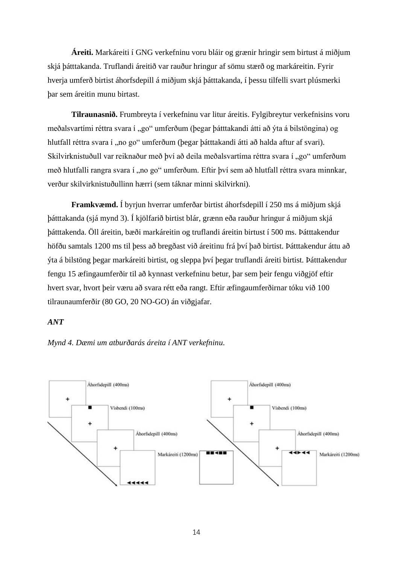**Áreiti.** Markáreiti í GNG verkefninu voru bláir og grænir hringir sem birtust á miðjum skjá þátttakanda. Truflandi áreitið var rauður hringur af sömu stærð og markáreitin. Fyrir hverja umferð birtist áhorfsdepill á miðjum skjá þátttakanda, í þessu tilfelli svart plúsmerki þar sem áreitin munu birtast.

**Tilraunasnið.** Frumbreyta í verkefninu var litur áreitis. Fylgibreytur verkefnisins voru meðalsvartími réttra svara í "go" umferðum (þegar þátttakandi átti að ýta á bilstöngina) og hlutfall réttra svara í "no go" umferðum (þegar þátttakandi átti að halda aftur af svari). Skilvirknistuðull var reiknaður með því að deila meðalsvartíma réttra svara í "go" umferðum með hlutfalli rangra svara í "no go" umferðum. Eftir því sem að hlutfall réttra svara minnkar, verður skilvirknistuðullinn hærri (sem táknar minni skilvirkni).

**Framkvæmd.** Í byrjun hverrar umferðar birtist áhorfsdepill í 250 ms á miðjum skjá þátttakanda (sjá mynd 3). Í kjölfarið birtist blár, grænn eða rauður hringur á miðjum skjá þátttakenda. Öll áreitin, bæði markáreitin og truflandi áreitin birtust í 500 ms. Þátttakendur höfðu samtals 1200 ms til þess að bregðast við áreitinu frá því það birtist. Þátttakendur áttu að ýta á bilstöng þegar markáreiti birtist, og sleppa því þegar truflandi áreiti birtist. Þátttakendur fengu 15 æfingaumferðir til að kynnast verkefninu betur, þar sem þeir fengu viðgjöf eftir hvert svar, hvort þeir væru að svara rétt eða rangt. Eftir æfingaumferðirnar tóku við 100 tilraunaumferðir (80 GO, 20 NO-GO) án viðgjafar.

### *ANT*



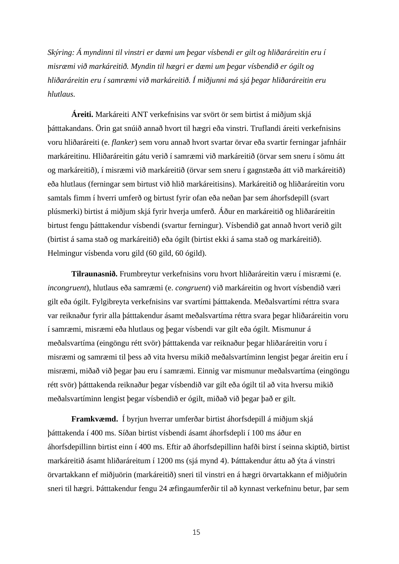*Skýring: Á myndinni til vinstri er dæmi um þegar vísbendi er gilt og hliðaráreitin eru í misræmi við markáreitið. Myndin til hægri er dæmi um þegar vísbendið er ógilt og hliðaráreitin eru í samræmi við markáreitið. Í miðjunni má sjá þegar hliðaráreitin eru hlutlaus.*

**Áreiti.** Markáreiti ANT verkefnisins var svört ör sem birtist á miðjum skjá þátttakandans. Örin gat snúið annað hvort til hægri eða vinstri. Truflandi áreiti verkefnisins voru hliðaráreiti (e. *flanker*) sem voru annað hvort svartar örvar eða svartir ferningar jafnháir markáreitinu. Hliðaráreitin gátu verið í samræmi við markáreitið (örvar sem sneru í sömu átt og markáreitið), í misræmi við markáreitið (örvar sem sneru í gagnstæða átt við markáreitið) eða hlutlaus (ferningar sem birtust við hlið markáreitisins). Markáreitið og hliðaráreitin voru samtals fimm í hverri umferð og birtust fyrir ofan eða neðan þar sem áhorfsdepill (svart plúsmerki) birtist á miðjum skjá fyrir hverja umferð. Áður en markáreitið og hliðaráreitin birtust fengu þátttakendur vísbendi (svartur ferningur). Vísbendið gat annað hvort verið gilt (birtist á sama stað og markáreitið) eða ógilt (birtist ekki á sama stað og markáreitið). Helmingur vísbenda voru gild (60 gild, 60 ógild).

**Tilraunasnið.** Frumbreytur verkefnisins voru hvort hliðaráreitin væru í misræmi (e. *incongruent*), hlutlaus eða samræmi (e. *congruent*) við markáreitin og hvort vísbendið væri gilt eða ógilt. Fylgibreyta verkefnisins var svartími þátttakenda. Meðalsvartími réttra svara var reiknaður fyrir alla þátttakendur ásamt meðalsvartíma réttra svara þegar hliðaráreitin voru í samræmi, misræmi eða hlutlaus og þegar vísbendi var gilt eða ógilt. Mismunur á meðalsvartíma (eingöngu rétt svör) þátttakenda var reiknaður þegar hliðaráreitin voru í misræmi og samræmi til þess að vita hversu mikið meðalsvartíminn lengist þegar áreitin eru í misræmi, miðað við þegar þau eru í samræmi. Einnig var mismunur meðalsvartíma (eingöngu rétt svör) þátttakenda reiknaður þegar vísbendið var gilt eða ógilt til að vita hversu mikið meðalsvartíminn lengist þegar vísbendið er ógilt, miðað við þegar það er gilt.

**Framkvæmd.** Í byrjun hverrar umferðar birtist áhorfsdepill á miðjum skjá þátttakenda í 400 ms. Síðan birtist vísbendi ásamt áhorfsdepli í 100 ms áður en áhorfsdepillinn birtist einn í 400 ms. Eftir að áhorfsdepillinn hafði birst í seinna skiptið, birtist markáreitið ásamt hliðaráreitum í 1200 ms (sjá mynd 4). Þátttakendur áttu að ýta á vinstri örvartakkann ef miðjuörin (markáreitið) sneri til vinstri en á hægri örvartakkann ef miðjuörin sneri til hægri. Þátttakendur fengu 24 æfingaumferðir til að kynnast verkefninu betur, þar sem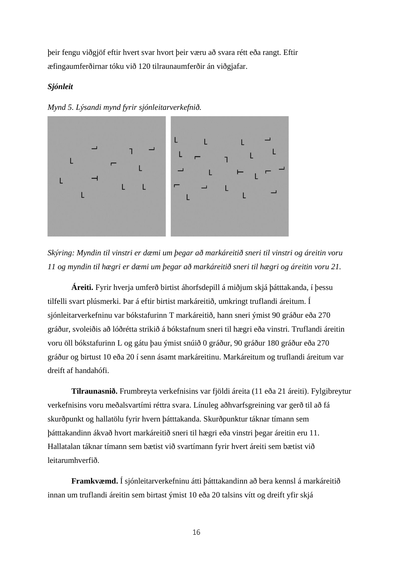þeir fengu viðgjöf eftir hvert svar hvort þeir væru að svara rétt eða rangt. Eftir æfingaumferðirnar tóku við 120 tilraunaumferðir án viðgjafar.

#### *Sjónleit*





*Skýring: Myndin til vinstri er dæmi um þegar að markáreitið sneri til vinstri og áreitin voru 11 og myndin til hægri er dæmi um þegar að markáreitið sneri til hægri og áreitin voru 21.* 

**Áreiti.** Fyrir hverja umferð birtist áhorfsdepill á miðjum skjá þátttakanda, í þessu tilfelli svart plúsmerki. Þar á eftir birtist markáreitið, umkringt truflandi áreitum. Í sjónleitarverkefninu var bókstafurinn T markáreitið, hann sneri ýmist 90 gráður eða 270 gráður, svoleiðis að lóðrétta strikið á bókstafnum sneri til hægri eða vinstri. Truflandi áreitin voru öll bókstafurinn L og gátu þau ýmist snúið 0 gráður, 90 gráður 180 gráður eða 270 gráður og birtust 10 eða 20 í senn ásamt markáreitinu. Markáreitum og truflandi áreitum var dreift af handahófi.

**Tilraunasnið.** Frumbreyta verkefnisins var fjöldi áreita (11 eða 21 áreiti). Fylgibreytur verkefnisins voru meðalsvartími réttra svara. Línuleg aðhvarfsgreining var gerð til að fá skurðpunkt og hallatölu fyrir hvern þátttakanda. Skurðpunktur táknar tímann sem þátttakandinn ákvað hvort markáreitið sneri til hægri eða vinstri þegar áreitin eru 11. Hallatalan táknar tímann sem bætist við svartímann fyrir hvert áreiti sem bætist við leitarumhverfið.

**Framkvæmd.** Í sjónleitarverkefninu átti þátttakandinn að bera kennsl á markáreitið innan um truflandi áreitin sem birtast ýmist 10 eða 20 talsins vítt og dreift yfir skjá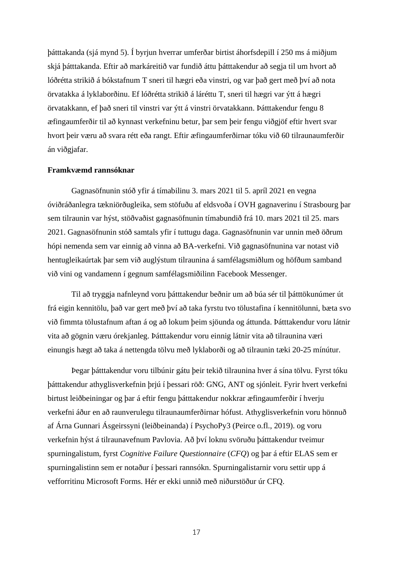þátttakanda (sjá mynd 5). Í byrjun hverrar umferðar birtist áhorfsdepill í 250 ms á miðjum skjá þátttakanda. Eftir að markáreitið var fundið áttu þátttakendur að segja til um hvort að lóðrétta strikið á bókstafnum T sneri til hægri eða vinstri, og var það gert með því að nota örvatakka á lyklaborðinu. Ef lóðrétta strikið á láréttu T, sneri til hægri var ýtt á hægri örvatakkann, ef það sneri til vinstri var ýtt á vinstri örvatakkann. Þátttakendur fengu 8 æfingaumferðir til að kynnast verkefninu betur, þar sem þeir fengu viðgjöf eftir hvert svar hvort þeir væru að svara rétt eða rangt. Eftir æfingaumferðirnar tóku við 60 tilraunaumferðir án viðgjafar.

#### **Framkvæmd rannsóknar**

Gagnasöfnunin stóð yfir á tímabilinu 3. mars 2021 til 5. apríl 2021 en vegna óviðráðanlegra tækniörðugleika, sem stöfuðu af eldsvoða í OVH gagnaverinu í Strasbourg þar sem tilraunin var hýst, stöðvaðist gagnasöfnunin tímabundið frá 10. mars 2021 til 25. mars 2021. Gagnasöfnunin stóð samtals yfir í tuttugu daga. Gagnasöfnunin var unnin með öðrum hópi nemenda sem var einnig að vinna að BA-verkefni. Við gagnasöfnunina var notast við hentugleikaúrtak þar sem við auglýstum tilraunina á samfélagsmiðlum og höfðum samband við vini og vandamenn í gegnum samfélagsmiðilinn Facebook Messenger.

Til að tryggja nafnleynd voru þátttakendur beðnir um að búa sér til þátttökunúmer út frá eigin kennitölu, það var gert með því að taka fyrstu tvo tölustafina í kennitölunni, bæta svo við fimmta tölustafnum aftan á og að lokum þeim sjöunda og áttunda. Þátttakendur voru látnir vita að gögnin væru órekjanleg. Þátttakendur voru einnig látnir vita að tilraunina væri einungis hægt að taka á nettengda tölvu með lyklaborði og að tilraunin tæki 20-25 mínútur.

Þegar þátttakendur voru tilbúnir gátu þeir tekið tilraunina hver á sína tölvu. Fyrst tóku þátttakendur athyglisverkefnin þrjú í þessari röð: GNG, ANT og sjónleit. Fyrir hvert verkefni birtust leiðbeiningar og þar á eftir fengu þátttakendur nokkrar æfingaumferðir í hverju verkefni áður en að raunverulegu tilraunaumferðirnar hófust. Athyglisverkefnin voru hönnuð af Árna Gunnari Ásgeirssyni (leiðbeinanda) í PsychoPy3 (Peirce o.fl., 2019). og voru verkefnin hýst á tilraunavefnum Pavlovia. Að því loknu svöruðu þátttakendur tveimur spurningalistum, fyrst *Cognitive Failure Questionnaire* (*CFQ*) og þar á eftir ELAS sem er spurningalistinn sem er notaður í þessari rannsókn. Spurningalistarnir voru settir upp á vefforritinu Microsoft Forms. Hér er ekki unnið með niðurstöður úr CFQ.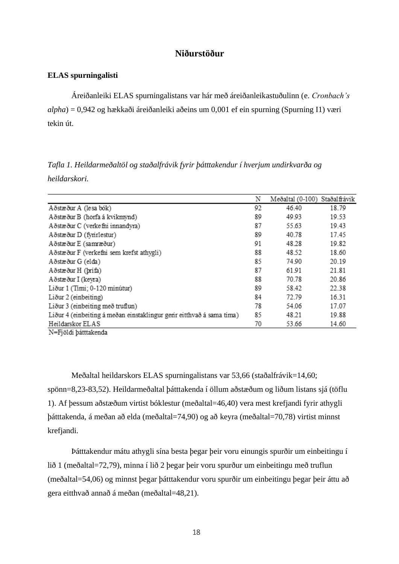## **Niðurstöður**

#### **ELAS spurningalisti**

Áreiðanleiki ELAS spurningalistans var hár með áreiðanleikastuðulinn (e. *Cronbach's alpha*) = 0,942 og hækkaði áreiðanleiki aðeins um 0,001 ef ein spurning (Spurning I1) væri tekin út.

*Tafla 1. Heildarmeðaltöl og staðalfrávik fyrir þátttakendur í hverjum undirkvarða og heildarskori.* 

|                                                                       | Ν  | Meðaltal (0-100) Staðalfrávik |       |
|-----------------------------------------------------------------------|----|-------------------------------|-------|
| Aðstæður A (lesa bók)                                                 | 92 | 46.40                         | 18.79 |
| Aðstæður B (horfa á kvikmynd)                                         | 89 | 49.93                         | 19.53 |
| Aðstæður C (verkefni innandyra)                                       | 87 | 55.63                         | 19.43 |
| Aðstæður D (fyrirlestur)                                              | 89 | 40.78                         | 17.45 |
| Aðstæður E (samræður)                                                 | 91 | 48.28                         | 19.82 |
| Aðstæður F (verkefni sem krefst athygli)                              | 88 | 48.52                         | 18.60 |
| Aðstæður G (elda)                                                     | 85 | 74.90                         | 20.19 |
| Aðstæður H (þrifa)                                                    | 87 | 61.91                         | 21.81 |
| Aðstæður I (keyra)                                                    | 88 | 70.78                         | 20.86 |
| Liður 1 (Timi; 0-120 minútur)                                         | 89 | 58.42                         | 22.38 |
| Liður 2 (einbeiting)                                                  | 84 | 72.79                         | 16.31 |
| Liður 3 (einbeiting með truflun)                                      | 78 | 54.06                         | 17.07 |
| Liður 4 (einbeiting á meðan einstaklingur gerir eitthvað á sama tima) | 85 | 48.21                         | 19.88 |
| Heildarskor ELAS                                                      | 70 | 53.66                         | 14.60 |
| <b>B.P. Provident A. A. Co., A.</b>                                   |    |                               |       |

N=Fjöldi þátttakenda

Meðaltal heildarskors ELAS spurningalistans var 53,66 (staðalfrávik=14,60; spönn=8,23-83,52). Heildarmeðaltal þátttakenda í öllum aðstæðum og liðum listans sjá (töflu 1). Af þessum aðstæðum virtist bóklestur (meðaltal=46,40) vera mest krefjandi fyrir athygli þátttakenda, á meðan að elda (meðaltal=74,90) og að keyra (meðaltal=70,78) virtist minnst krefjandi.

Þátttakendur mátu athygli sína besta þegar þeir voru einungis spurðir um einbeitingu í lið 1 (meðaltal=72,79), minna í lið 2 þegar þeir voru spurður um einbeitingu með truflun (meðaltal=54,06) og minnst þegar þátttakendur voru spurðir um einbeitingu þegar þeir áttu að gera eitthvað annað á meðan (meðaltal=48,21).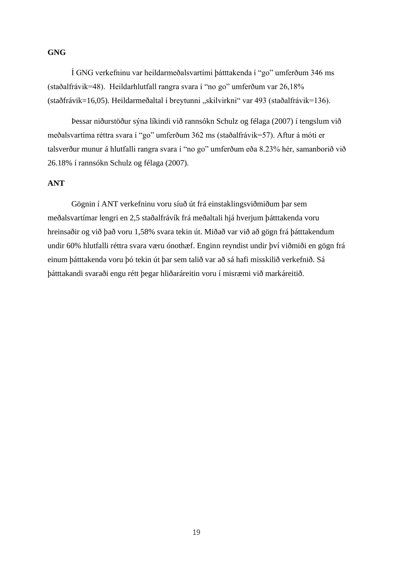### **GNG**

Í GNG verkefninu var heildarmeðalsvartími þátttakenda í "go" umferðum 346 ms (staðalfrávik=48). Heildarhlutfall rangra svara í "no go" umferðum var 26,18% (staðfrávik=16,05). Heildarmeðaltal í breytunni "skilvirkni" var 493 (staðalfrávik=136).

Þessar niðurstöður sýna líkindi við rannsókn Schulz og félaga (2007) í tengslum við meðalsvartíma réttra svara í "go" umferðum 362 ms (staðalfrávik=57). Aftur á móti er talsverður munur á hlutfalli rangra svara í "no go" umferðum eða 8.23% hér, samanborið við 26.18% í rannsókn Schulz og félaga (2007).

# **ANT**

Gögnin í ANT verkefninu voru síuð út frá einstaklingsviðmiðum þar sem meðalsvartímar lengri en 2,5 staðalfrávík frá meðaltali hjá hverjum þátttakenda voru hreinsaðir og við það voru 1,58% svara tekin út. Miðað var við að gögn frá þátttakendum undir 60% hlutfalli réttra svara væru ónothæf. Enginn reyndist undir því viðmiði en gögn frá einum þátttakenda voru þó tekin út þar sem talið var að sá hafi misskilið verkefnið. Sá þátttakandi svaraði engu rétt þegar hliðaráreitin voru í misræmi við markáreitið.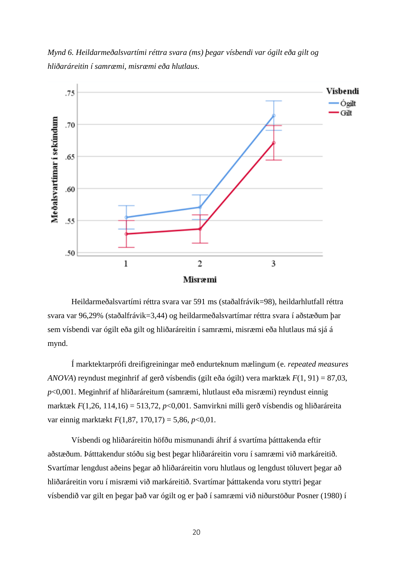*Mynd 6. Heildarmeðalsvartími réttra svara (ms) þegar vísbendi var ógilt eða gilt og hliðaráreitin í samræmi, misræmi eða hlutlaus.*



Heildarmeðalsvartími réttra svara var 591 ms (staðalfrávik=98), heildarhlutfall réttra svara var 96,29% (staðalfrávik=3,44) og heildarmeðalsvartímar réttra svara í aðstæðum þar sem vísbendi var ógilt eða gilt og hliðaráreitin í samræmi, misræmi eða hlutlaus má sjá á mynd.

Í marktektarprófi dreifigreiningar með endurteknum mælingum (e. *repeated measures ANOVA*) reyndust meginhrif af gerð vísbendis (gilt eða ógilt) vera marktæk *F*(1, 91) = 87,03, *p*<0,001. Meginhrif af hliðaráreitum (samræmi, hlutlaust eða misræmi) reyndust einnig marktæk *F*(1,26, 114,16) = 513,72, *p*<0,001. Samvirkni milli gerð vísbendis og hliðaráreita var einnig marktækt *F*(1,87, 170,17) = 5,86, *p*<0,01.

Vísbendi og hliðaráreitin höfðu mismunandi áhrif á svartíma þátttakenda eftir aðstæðum. Þátttakendur stóðu sig best þegar hliðaráreitin voru í samræmi við markáreitið. Svartímar lengdust aðeins þegar að hliðaráreitin voru hlutlaus og lengdust töluvert þegar að hliðaráreitin voru í misræmi við markáreitið. Svartímar þátttakenda voru styttri þegar vísbendið var gilt en þegar það var ógilt og er það í samræmi við niðurstöður Posner (1980) í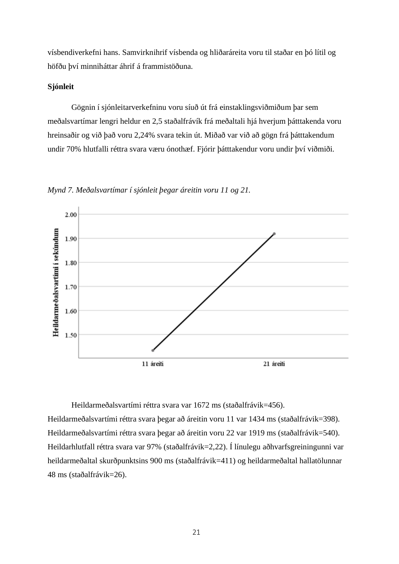vísbendiverkefni hans. Samvirknihrif vísbenda og hliðaráreita voru til staðar en þó lítil og höfðu því minniháttar áhrif á frammistöðuna.

#### **Sjónleit**

Gögnin í sjónleitarverkefninu voru síuð út frá einstaklingsviðmiðum þar sem meðalsvartímar lengri heldur en 2,5 staðalfrávík frá meðaltali hjá hverjum þátttakenda voru hreinsaðir og við það voru 2,24% svara tekin út. Miðað var við að gögn frá þátttakendum undir 70% hlutfalli réttra svara væru ónothæf. Fjórir þátttakendur voru undir því viðmiði.

*Mynd 7. Meðalsvartímar í sjónleit þegar áreitin voru 11 og 21.* 



Heildarmeðalsvartími réttra svara var 1672 ms (staðalfrávik=456).

Heildarmeðalsvartími réttra svara þegar að áreitin voru 11 var 1434 ms (staðalfrávik=398). Heildarmeðalsvartími réttra svara þegar að áreitin voru 22 var 1919 ms (staðalfrávik=540). Heildarhlutfall réttra svara var 97% (staðalfrávik=2,22). Í línulegu aðhvarfsgreiningunni var heildarmeðaltal skurðpunktsins 900 ms (staðalfrávik=411) og heildarmeðaltal hallatölunnar 48 ms (staðalfrávik=26).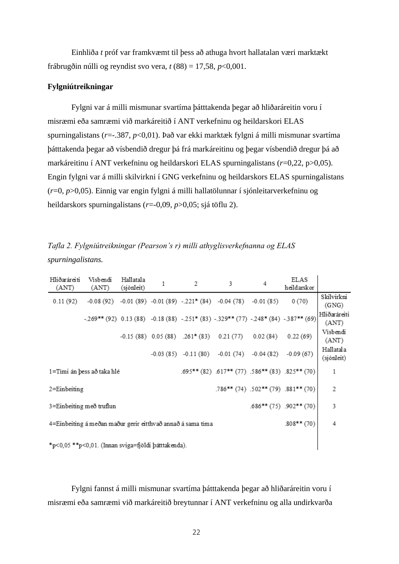Einhliða *t* próf var framkvæmt til þess að athuga hvort hallatalan væri marktækt frábrugðin núlli og reyndist svo vera, *t* (88) = 17,58, *p*<0,001.

#### **Fylgniútreikningar**

Fylgni var á milli mismunar svartíma þátttakenda þegar að hliðaráreitin voru í misræmi eða samræmi við markáreitið í ANT verkefninu og heildarskori ELAS spurningalistans (*r*=-.387, *p*<0,01). Það var ekki marktæk fylgni á milli mismunar svartíma þátttakenda þegar að vísbendið dregur þá frá markáreitinu og þegar vísbendið dregur þá að markáreitinu í ANT verkefninu og heildarskori ELAS spurningalistans (*r*=0,22, p>0,05). Engin fylgni var á milli skilvirkni í GNG verkefninu og heildarskors ELAS spurningalistans (*r*=0, *p*>0,05). Einnig var engin fylgni á milli hallatölunnar í sjónleitarverkefninu og heildarskors spurningalistans (*r*=-0,09, *p*>0,05; sjá töflu 2).

|                   | Tafla 2. Fylgniútreikningar (Pearson's r) milli athyglisverkefnanna og ELAS |  |
|-------------------|-----------------------------------------------------------------------------|--|
| spurningalistans. |                                                                             |  |

| Hliðaráreiti<br>(ANT)                                                                 | Visbendi<br>(ANT) | Hallatala<br>(sjónleit) | 1 | 2 | 3                                                                                   | 4        | ELAS<br>heildarskor |                         |
|---------------------------------------------------------------------------------------|-------------------|-------------------------|---|---|-------------------------------------------------------------------------------------|----------|---------------------|-------------------------|
| 0.11(92)                                                                              |                   |                         |   |   | $-0.08(92)$ $-0.01(89)$ $-0.01(89)$ $-221*(84)$ $-0.04(78)$ $-0.01(85)$             |          | 0(70)               | Skilvirkni<br>(GNG)     |
|                                                                                       |                   |                         |   |   | $-269**$ (92) 0.13 (88) -0.18 (88) -.251* (83) -.329** (77) -248* (84) -.387** (69) |          |                     | Hliðaráreiti<br>(ANT)   |
|                                                                                       |                   |                         |   |   | $-0.15(88)$ $0.05(88)$ $.261*(83)$ $0.21(77)$                                       | 0.02(84) | 0.22(69)            | Visbendi<br>(ANT)       |
|                                                                                       |                   |                         |   |   | $-0.03(85)$ $-0.11(80)$ $-0.01(74)$ $-0.04(82)$ $-0.09(67)$                         |          |                     | Hallatala<br>(sjónleit) |
| $.695**$ (82) $.617**$ (77) $.586**$ (83) $.825**$ (70)<br>1=Timi án þess að taka hlé |                   |                         |   |   | 1                                                                                   |          |                     |                         |
| $.786**$ (74) $.502**$ (79) $.881**$ (70)<br>$2 =$ Einbeiting                         |                   |                         |   |   | 2                                                                                   |          |                     |                         |
| 3=Einbeiting með truflun<br>$.686**$ (75) $.902**$ (70)                               |                   |                         |   |   |                                                                                     | 3        |                     |                         |
| 4=Einbeiting á meðan maður gerir eitthvað annað á sama tima<br>$.808**$ (70)          |                   |                         |   |   |                                                                                     | 4        |                     |                         |
| *p<0,05 **p<0,01. (Innan sviga=fjöldi þátttakenda).                                   |                   |                         |   |   |                                                                                     |          |                     |                         |

Fylgni fannst á milli mismunar svartíma þátttakenda þegar að hliðaráreitin voru í misræmi eða samræmi við markáreitið breytunnar í ANT verkefninu og alla undirkvarða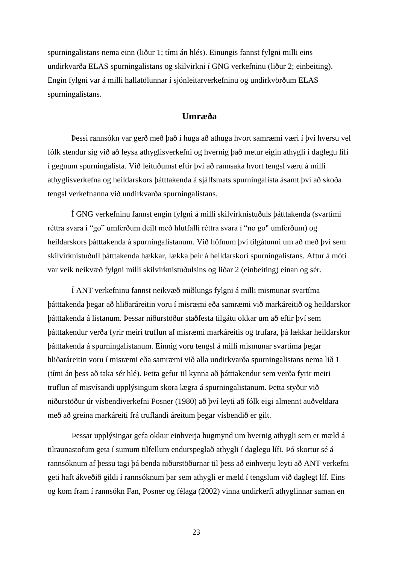spurningalistans nema einn (liður 1; tími án hlés). Einungis fannst fylgni milli eins undirkvarða ELAS spurningalistans og skilvirkni í GNG verkefninu (liður 2; einbeiting). Engin fylgni var á milli hallatölunnar í sjónleitarverkefninu og undirkvörðum ELAS spurningalistans.

# **Umræða**

Þessi rannsókn var gerð með það í huga að athuga hvort samræmi væri í því hversu vel fólk stendur sig við að leysa athyglisverkefni og hvernig það metur eigin athygli í daglegu lífi í gegnum spurningalista. Við leituðumst eftir því að rannsaka hvort tengsl væru á milli athyglisverkefna og heildarskors þátttakenda á sjálfsmats spurningalista ásamt því að skoða tengsl verkefnanna við undirkvarða spurningalistans.

Í GNG verkefninu fannst engin fylgni á milli skilvirknistuðuls þátttakenda (svartími réttra svara í "go" umferðum deilt með hlutfalli réttra svara í "no go" umferðum) og heildarskors þátttakenda á spurningalistanum. Við höfnum því tilgátunni um að með því sem skilvirknistuðull þátttakenda hækkar, lækka þeir á heildarskori spurningalistans. Aftur á móti var veik neikvæð fylgni milli skilvirknistuðulsins og liðar 2 (einbeiting) einan og sér.

Í ANT verkefninu fannst neikvæð miðlungs fylgni á milli mismunar svartíma þátttakenda þegar að hliðaráreitin voru í misræmi eða samræmi við markáreitið og heildarskor þátttakenda á listanum. Þessar niðurstöður staðfesta tilgátu okkar um að eftir því sem þátttakendur verða fyrir meiri truflun af misræmi markáreitis og trufara, þá lækkar heildarskor þátttakenda á spurningalistanum. Einnig voru tengsl á milli mismunar svartíma þegar hliðaráreitin voru í misræmi eða samræmi við alla undirkvarða spurningalistans nema lið 1 (tími án þess að taka sér hlé). Þetta gefur til kynna að þátttakendur sem verða fyrir meiri truflun af misvísandi upplýsingum skora lægra á spurningalistanum. Þetta styður við niðurstöður úr vísbendiverkefni Posner (1980) að því leyti að fólk eigi almennt auðveldara með að greina markáreiti frá truflandi áreitum þegar vísbendið er gilt.

Þessar upplýsingar gefa okkur einhverja hugmynd um hvernig athygli sem er mæld á tilraunastofum geta í sumum tilfellum endurspeglað athygli í daglegu lífi. Þó skortur sé á rannsóknum af þessu tagi þá benda niðurstöðurnar til þess að einhverju leyti að ANT verkefni geti haft ákveðið gildi í rannsóknum þar sem athygli er mæld í tengslum við daglegt líf. Eins og kom fram í rannsókn Fan, Posner og félaga (2002) vinna undirkerfi athyglinnar saman en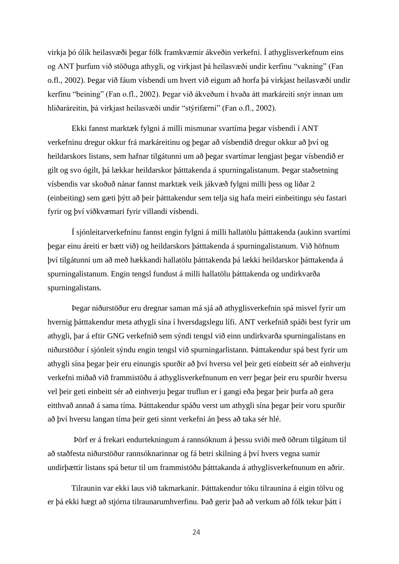virkja þó ólík heilasvæði þegar fólk framkvæmir ákveðin verkefni. Í athyglisverkefnum eins og ANT þurfum við stöðuga athygli, og virkjast þá heilasvæði undir kerfinu "vakning" (Fan o.fl., 2002). Þegar við fáum vísbendi um hvert við eigum að horfa þá virkjast heilasvæði undir kerfinu "beining" (Fan o.fl., 2002). Þegar við ákveðum í hvaða átt markáreiti snýr innan um hliðaráreitin, þá virkjast heilasvæði undir "stýrifærni" (Fan o.fl., 2002).

Ekki fannst marktæk fylgni á milli mismunar svartíma þegar vísbendi í ANT verkefninu dregur okkur frá markáreitinu og þegar að vísbendið dregur okkur að því og heildarskors listans, sem hafnar tilgátunni um að þegar svartímar lengjast þegar vísbendið er gilt og svo ógilt, þá lækkar heildarskor þátttakenda á spurningalistanum. Þegar staðsetning vísbendis var skoðuð nánar fannst marktæk veik jákvæð fylgni milli þess og liðar 2 (einbeiting) sem gæti þýtt að þeir þátttakendur sem telja sig hafa meiri einbeitingu séu fastari fyrir og því viðkvæmari fyrir villandi vísbendi.

Í sjónleitarverkefninu fannst engin fylgni á milli hallatölu þátttakenda (aukinn svartími þegar einu áreiti er bætt við) og heildarskors þátttakenda á spurningalistanum. Við höfnum því tilgátunni um að með hækkandi hallatölu þátttakenda þá lækki heildarskor þátttakenda á spurningalistanum. Engin tengsl fundust á milli hallatölu þátttakenda og undirkvarða spurningalistans.

Þegar niðurstöður eru dregnar saman má sjá að athyglisverkefnin spá misvel fyrir um hvernig þátttakendur meta athygli sína í hversdagslegu lífi. ANT verkefnið spáði best fyrir um athygli, þar á eftir GNG verkefnið sem sýndi tengsl við einn undirkvarða spurningalistans en niðurstöður í sjónleit sýndu engin tengsl við spurningarlistann. Þátttakendur spá best fyrir um athygli sína þegar þeir eru einungis spurðir að því hversu vel þeir geti einbeitt sér að einhverju verkefni miðað við frammistöðu á athyglisverkefnunum en verr þegar þeir eru spurðir hversu vel þeir geti einbeitt sér að einhverju þegar truflun er í gangi eða þegar þeir þurfa að gera eitthvað annað á sama tíma. Þátttakendur spáðu verst um athygli sína þegar þeir voru spurðir að því hversu langan tíma þeir geti sinnt verkefni án þess að taka sér hlé.

Þörf er á frekari endurtekningum á rannsóknum á þessu sviði með öðrum tilgátum til að staðfesta niðurstöður rannsóknarinnar og fá betri skilning á því hvers vegna sumir undirþættir listans spá betur til um frammistöðu þátttakanda á athyglisverkefnunum en aðrir.

Tilraunin var ekki laus við takmarkanir. Þátttakendur tóku tilraunina á eigin tölvu og er þá ekki hægt að stjórna tilraunarumhverfinu. Það gerir það að verkum að fólk tekur þátt í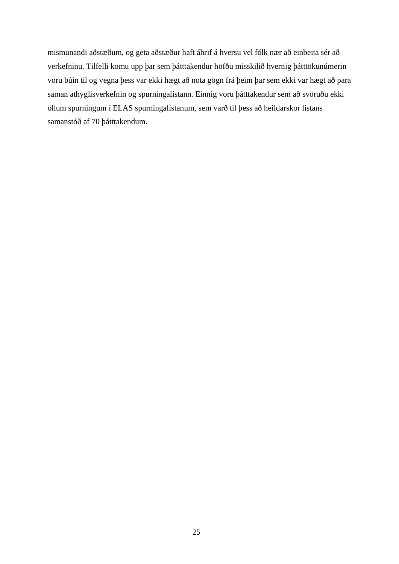mismunandi aðstæðum, og geta aðstæður haft áhrif á hversu vel fólk nær að einbeita sér að verkefninu. Tilfelli komu upp þar sem þátttakendur höfðu misskilið hvernig þátttökunúmerin voru búin til og vegna þess var ekki hægt að nota gögn frá þeim þar sem ekki var hægt að para saman athyglisverkefnin og spurningalistann. Einnig voru þátttakendur sem að svöruðu ekki öllum spurningum í ELAS spurningalistanum, sem varð til þess að heildarskor listans samanstóð af 70 þátttakendum.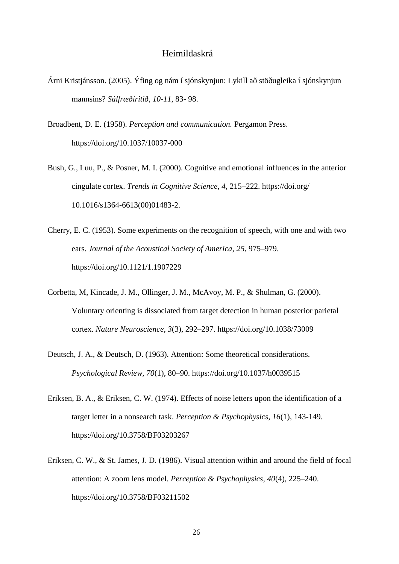# Heimildaskrá

- Árni Kristjánsson. (2005). Ýfing og nám í sjónskynjun: Lykill að stöðugleika í sjónskynjun mannsins? *Sálfræðiritið*, *10-11*, 83- 98.
- Broadbent, D. E. (1958). *Perception and communication.* Pergamon Press. https://doi.org/10.1037/10037-000
- Bush, G., Luu, P., & Posner, M. I. (2000). Cognitive and emotional influences in the anterior cingulate cortex. *Trends in Cognitive Science*, *4*, 215–222.<https://doi.org/> 10.1016/s1364-6613(00)01483-2.
- Cherry, E. C. (1953). Some experiments on the recognition of speech, with one and with two ears. *Journal of the Acoustical Society of America*, *25*, 975–979. <https://doi.org/10.1121/1.1907229>
- Corbetta, M, Kincade, J. M., Ollinger, J. M., McAvoy, M. P., & Shulman, G. (2000). Voluntary orienting is dissociated from target detection in human posterior parietal cortex. *Nature Neuroscience*, *3*(3), 292–297. https://doi.org/10.1038/73009
- Deutsch, J. A., & Deutsch, D. (1963). Attention: Some theoretical considerations. *Psychological Review, 70*(1), 80–90. [https://doi.org/10.1037/h0039515](https://psycnet.apa.org/doi/10.1037/h0039515)
- Eriksen, B. A., & Eriksen, C. W. (1974). Effects of noise letters upon the identification of a target letter in a nonsearch task. *Perception & Psychophysics, 16*(1), 143-149. [https://doi.org/10.3758/BF03203267](https://psycnet.apa.org/doi/10.3758/BF03203267)
- Eriksen, C. W., & St. James, J. D. (1986). Visual attention within and around the field of focal attention: A zoom lens model. *Perception & Psychophysics, 40*(4), 225–240. [https://doi.org/10.3758/BF03211502](https://psycnet.apa.org/doi/10.3758/BF03211502)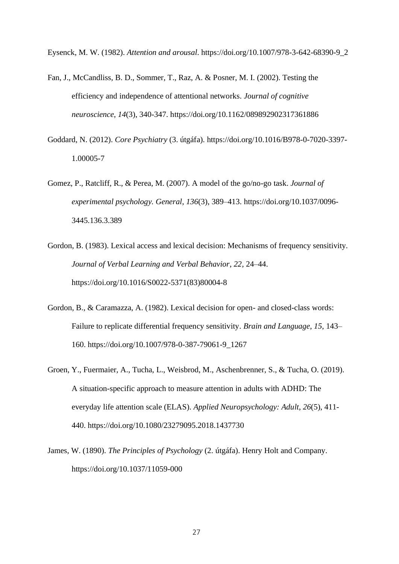Eysenck, M. W. (1982). *Attention and arousal*. [https://doi.org/10.1007/978-3-642-68390-9\\_2](https://doi.org/10.1007/978-3-642-68390-9_2)

- Fan, J., McCandliss, B. D., Sommer, T., Raz, A. & Posner, M. I. (2002). Testing the efficiency and independence of attentional networks. *Journal of cognitive neuroscience*, *14*(3), 340-347.<https://doi.org/10.1162/089892902317361886>
- Goddard, N. (2012). *Core Psychiatry* (3. útgáfa). [https://doi.org/10.1016/B978-0-7020-3397-](https://doi.org/10.1016/B978-0-7020-3397-1.00005-7) [1.00005-7](https://doi.org/10.1016/B978-0-7020-3397-1.00005-7)
- Gomez, P., Ratcliff, R., & Perea, M. (2007). A model of the go/no-go task. *Journal of experimental psychology. General*, *136*(3), 389–413. [https://doi.org/10.1037/0096-](https://doi.org/10.1037/0096-3445.136.3.389) [3445.136.3.389](https://doi.org/10.1037/0096-3445.136.3.389)
- Gordon, B. (1983). Lexical access and lexical decision: Mechanisms of frequency sensitivity. *Journal of Verbal Learning and Verbal Behavior*, *22*, 24–44. [https://doi.org/10.1016/S0022-5371\(83\)80004-8](https://doi.org/10.1016/S0022-5371(83)80004-8)
- Gordon, B., & Caramazza, A. (1982). Lexical decision for open- and closed-class words: Failure to replicate differential frequency sensitivity. *Brain and Language*, *15*, 143– 160. https://doi.org/10.1007/978-0-387-79061-9\_1267
- Groen, Y., Fuermaier, A., Tucha, L., Weisbrod, M., Aschenbrenner, S., & Tucha, O. (2019). A situation-specific approach to measure attention in adults with ADHD: The everyday life attention scale (ELAS). *Applied Neuropsychology: Adult*, *26*(5), 411- 440.<https://doi.org/10.1080/23279095.2018.1437730>
- James, W. (1890). *The Principles of Psychology* (2. útgáfa). Henry Holt and Company. <https://doi.org/10.1037/11059-000>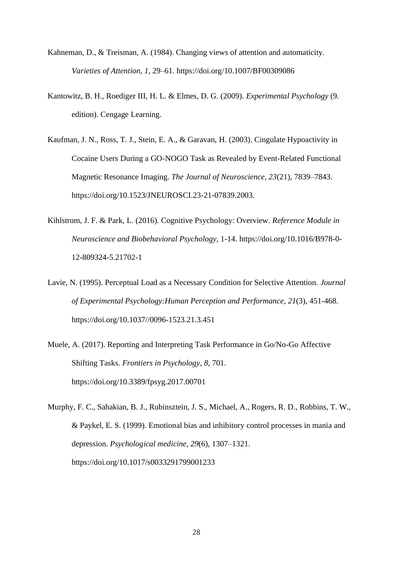- Kahneman, D., & Treisman, A. (1984). Changing views of attention and automaticity. *Varieties of Attention*, *1*, 29–61. https://doi.org/10.1007/BF00309086
- Kantowitz, B. H., Roediger III, H. L. & Elmes, D. G. (2009). *Experimental Psychology* (9. edition). Cengage Learning.
- Kaufman, J. N., Ross, T. J., Stein, E. A., & Garavan, H. (2003). Cingulate Hypoactivity in Cocaine Users During a GO-NOGO Task as Revealed by Event-Related Functional Magnetic Resonance Imaging. *The Journal of Neuroscience, 23*(21), 7839–7843. https://doi.org/10.1523/JNEUROSCI.23-21-07839.2003.
- Kihlstrom, J. F. & Park, L. (2016). Cognitive Psychology: Overview. *Reference Module in Neuroscience and Biobehavioral Psychology*, 1-14. [https://doi.org/10.1016/B978-0-](https://doi.org/10.1016/B978-0-12-809324-5.21702-1) [12-809324-5.21702-1](https://doi.org/10.1016/B978-0-12-809324-5.21702-1)
- Lavie, N. (1995). Perceptual Load as a Necessary Condition for Selective Attention. *Journal of Experimental Psychology:Human Perception and Performance*, *21*(3), 451-468. [https://doi.org/10.1037//0096-1523.21.3.451](https://doi.org/10.1037/0096-1523.21.3.451)
- Muele, A. (2017). Reporting and Interpreting Task Performance in Go/No-Go Affective Shifting Tasks. *Frontiers in Psychology*, *8*, 701. <https://doi.org/10.3389/fpsyg.2017.00701>
- Murphy, F. C., Sahakian, B. J., Rubinsztein, J. S., Michael, A., Rogers, R. D., Robbins, T. W., & Paykel, E. S. (1999). Emotional bias and inhibitory control processes in mania and depression. *Psychological medicine*, *29*(6), 1307–1321. <https://doi.org/10.1017/s0033291799001233>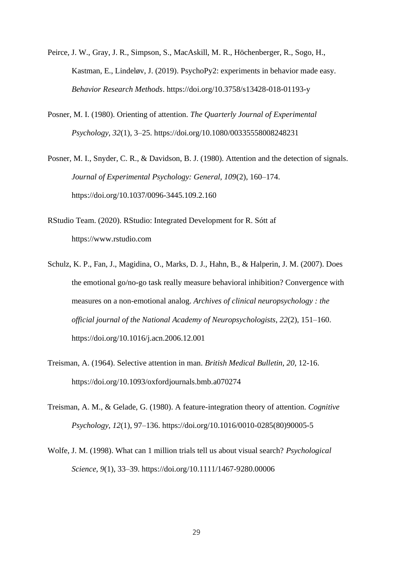- Peirce, J. W., Gray, J. R., Simpson, S., MacAskill, M. R., Höchenberger, R., Sogo, H., Kastman, E., Lindeløv, J. (2019). PsychoPy2: experiments in behavior made easy. *Behavior Research Methods*. https://doi.org/10.3758/s13428-018-01193-y
- Posner, M. I. (1980). Orienting of attention. *The Quarterly Journal of Experimental Psychology, 32*(1), 3–25. [https://doi.org/10.1080/00335558008248231](https://psycnet.apa.org/doi/10.1080/00335558008248231)
- Posner, M. I., Snyder, C. R., & Davidson, B. J. (1980). Attention and the detection of signals. *Journal of Experimental Psychology: General, 109*(2), 160–174. [https://doi.org/10.1037/0096-3445.109.2.160](https://psycnet.apa.org/doi/10.1037/0096-3445.109.2.160)
- RStudio Team. (2020). RStudio: Integrated Development for R. Sótt af [https://www.rstudio.com](https://www.rstudio.com/)
- Schulz, K. P., Fan, J., Magidina, O., Marks, D. J., Hahn, B., & Halperin, J. M. (2007). Does the emotional go/no-go task really measure behavioral inhibition? Convergence with measures on a non-emotional analog. *Archives of clinical neuropsychology : the official journal of the National Academy of Neuropsychologists*, *22*(2), 151–160. https://doi.org/10.1016/j.acn.2006.12.001
- Treisman, A. (1964). Selective attention in man. *British Medical Bulletin*, *20*, 12-16. https://doi.org/10.1093/oxfordjournals.bmb.a070274
- Treisman, A. M., & Gelade, G. (1980). A feature-integration theory of attention. *Cognitive Psychology, 12*(1), 97–136. [https://doi.org/10.1016/0010-0285\(80\)90005-5](https://psycnet.apa.org/doi/10.1016/0010-0285(80)90005-5)
- Wolfe, J. M. (1998). What can 1 million trials tell us about visual search? *Psychological Science, 9*(1), 33–39. [https://doi.org/10.1111/1467-9280.00006](https://psycnet.apa.org/doi/10.1111/1467-9280.00006)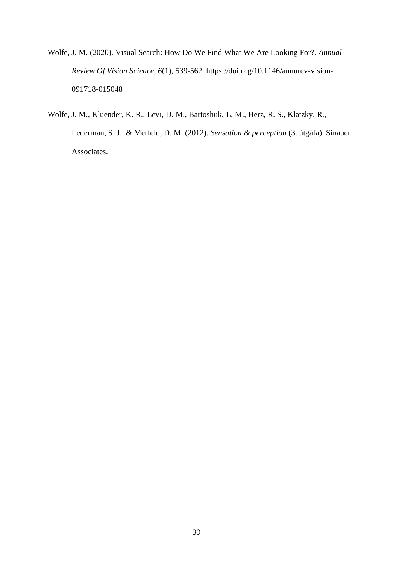Wolfe, J. M. (2020). Visual Search: How Do We Find What We Are Looking For?. *Annual Review Of Vision Science*, *6*(1), 539-562. [https://doi.org/10.1146/annurev-vision-](https://doi.org/10.1146/annurev-vision-091718-015048)[091718-015048](https://doi.org/10.1146/annurev-vision-091718-015048)

Wolfe, J. M., Kluender, K. R., Levi, D. M., Bartoshuk, L. M., Herz, R. S., Klatzky, R., Lederman, S. J., & Merfeld, D. M. (2012). *Sensation & perception* (3. útgáfa). Sinauer Associates.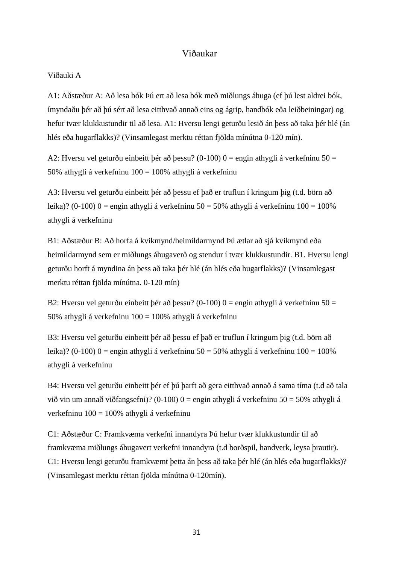# Viðaukar

#### Viðauki A

A1: Aðstæður A: Að lesa bók Þú ert að lesa bók með miðlungs áhuga (ef þú lest aldrei bók, ímyndaðu þér að þú sért að lesa eitthvað annað eins og ágrip, handbók eða leiðbeiningar) og hefur tvær klukkustundir til að lesa. A1: Hversu lengi geturðu lesið án þess að taka þér hlé (án hlés eða hugarflakks)? (Vinsamlegast merktu réttan fjölda mínútna 0-120 mín).

A2: Hversu vel geturðu einbeitt þér að þessu? (0-100)  $0 =$  engin athygli á verkefninu 50 = 50% athygli á verkefninu 100 = 100% athygli á verkefninu

A3: Hversu vel geturðu einbeitt þér að þessu ef það er truflun í kringum þig (t.d. börn að leika)? (0-100) 0 = engin athygli á verkefninu 50 = 50% athygli á verkefninu  $100 = 100\%$ athygli á verkefninu

B1: Aðstæður B: Að horfa á kvikmynd/heimildarmynd Þú ætlar að sjá kvikmynd eða heimildarmynd sem er miðlungs áhugaverð og stendur í tvær klukkustundir. B1. Hversu lengi geturðu horft á myndina án þess að taka þér hlé (án hlés eða hugarflakks)? (Vinsamlegast merktu réttan fjölda mínútna. 0-120 mín)

B2: Hversu vel geturðu einbeitt þér að þessu? (0-100)  $0 =$  engin athygli á verkefninu 50 = 50% athygli á verkefninu 100 = 100% athygli á verkefninu

B3: Hversu vel geturðu einbeitt þér að þessu ef það er truflun í kringum þig (t.d. börn að leika)? (0-100) 0 = engin athygli á verkefninu  $50 = 50\%$  athygli á verkefninu  $100 = 100\%$ athygli á verkefninu

B4: Hversu vel geturðu einbeitt þér ef þú þarft að gera eitthvað annað á sama tíma (t.d að tala við vin um annað viðfangsefni)? (0-100)  $0 =$ engin athygli á verkefninu 50 = 50% athygli á verkefninu  $100 = 100\%$  athygli á verkefninu

C1: Aðstæður C: Framkvæma verkefni innandyra Þú hefur tvær klukkustundir til að framkvæma miðlungs áhugavert verkefni innandyra (t.d borðspil, handverk, leysa þrautir). C1: Hversu lengi geturðu framkvæmt þetta án þess að taka þér hlé (án hlés eða hugarflakks)? (Vinsamlegast merktu réttan fjölda mínútna 0-120mín).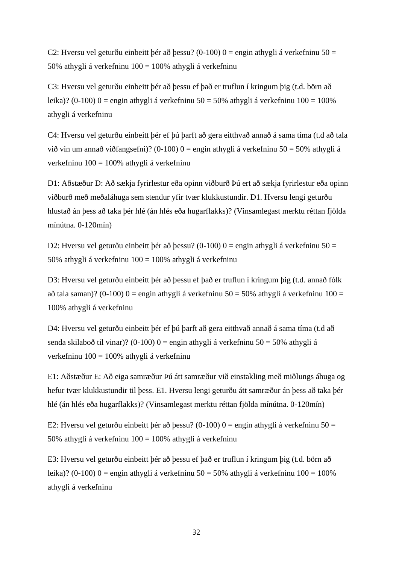C2: Hversu vel geturðu einbeitt þér að þessu? (0-100)  $0 =$  engin athygli á verkefninu 50 = 50% athygli á verkefninu 100 = 100% athygli á verkefninu

C3: Hversu vel geturðu einbeitt þér að þessu ef það er truflun í kringum þig (t.d. börn að leika)? (0-100) 0 = engin athygli á verkefninu 50 = 50% athygli á verkefninu  $100 = 100\%$ athygli á verkefninu

C4: Hversu vel geturðu einbeitt þér ef þú þarft að gera eitthvað annað á sama tíma (t.d að tala við vin um annað viðfangsefni)? (0-100)  $0 =$  engin athygli á verkefninu 50 = 50% athygli á verkefninu 100 = 100% athygli á verkefninu

D1: Aðstæður D: Að sækja fyrirlestur eða opinn viðburð Þú ert að sækja fyrirlestur eða opinn viðburð með meðaláhuga sem stendur yfir tvær klukkustundir. D1. Hversu lengi geturðu hlustað án þess að taka þér hlé (án hlés eða hugarflakks)? (Vinsamlegast merktu réttan fjölda mínútna. 0-120mín)

D2: Hversu vel geturðu einbeitt þér að þessu? (0-100)  $0 =$  engin athygli á verkefninu 50 = 50% athygli á verkefninu 100 = 100% athygli á verkefninu

D3: Hversu vel geturðu einbeitt þér að þessu ef það er truflun í kringum þig (t.d. annað fólk að tala saman)? (0-100)  $0 =$  engin athygli á verkefninu 50 = 50% athygli á verkefninu 100 = 100% athygli á verkefninu

D4: Hversu vel geturðu einbeitt þér ef þú þarft að gera eitthvað annað á sama tíma (t.d að senda skilaboð til vinar)? (0-100)  $0 =$ engin athygli á verkefninu 50 = 50% athygli á verkefninu 100 = 100% athygli á verkefninu

E1: Aðstæður E: Að eiga samræður Þú átt samræður við einstakling með miðlungs áhuga og hefur tvær klukkustundir til þess. E1. Hversu lengi geturðu átt samræður án þess að taka þér hlé (án hlés eða hugarflakks)? (Vinsamlegast merktu réttan fjölda mínútna. 0-120mín)

E2: Hversu vel geturðu einbeitt þér að þessu? (0-100)  $0 =$  engin athygli á verkefninu 50 = 50% athygli á verkefninu 100 = 100% athygli á verkefninu

E3: Hversu vel geturðu einbeitt þér að þessu ef það er truflun í kringum þig (t.d. börn að leika)? (0-100) 0 = engin athygli á verkefninu  $50 = 50\%$  athygli á verkefninu  $100 = 100\%$ athygli á verkefninu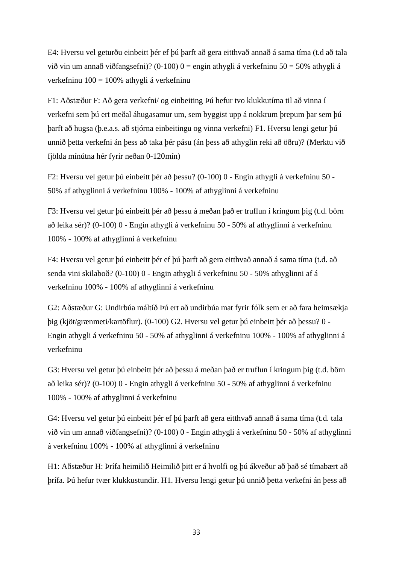E4: Hversu vel geturðu einbeitt þér ef þú þarft að gera eitthvað annað á sama tíma (t.d að tala við vin um annað viðfangsefni)? (0-100)  $0 =$  engin athygli á verkefninu 50 = 50% athygli á verkefninu  $100 = 100\%$  athygli á verkefninu

F1: Aðstæður F: Að gera verkefni/ og einbeiting Þú hefur tvo klukkutíma til að vinna í verkefni sem þú ert meðal áhugasamur um, sem byggist upp á nokkrum þrepum þar sem þú þarft að hugsa (þ.e.a.s. að stjórna einbeitingu og vinna verkefni) F1. Hversu lengi getur þú unnið þetta verkefni án þess að taka þér pásu (án þess að athyglin reki að öðru)? (Merktu við fjölda mínútna hér fyrir neðan 0-120mín)

F2: Hversu vel getur þú einbeitt þér að þessu? (0-100) 0 - Engin athygli á verkefninu 50 - 50% af athyglinni á verkefninu 100% - 100% af athyglinni á verkefninu

F3: Hversu vel getur þú einbeitt þér að þessu á meðan það er truflun í kringum þig (t.d. börn að leika sér)? (0-100) 0 - Engin athygli á verkefninu 50 - 50% af athyglinni á verkefninu 100% - 100% af athyglinni á verkefninu

F4: Hversu vel getur þú einbeitt þér ef þú þarft að gera eitthvað annað á sama tíma (t.d. að senda vini skilaboð? (0-100) 0 - Engin athygli á verkefninu 50 - 50% athyglinni af á verkefninu 100% - 100% af athyglinni á verkefninu

G2: Aðstæður G: Undirbúa máltíð Þú ert að undirbúa mat fyrir fólk sem er að fara heimsækja þig (kjöt/grænmeti/kartöflur). (0-100) G2. Hversu vel getur þú einbeitt þér að þessu? 0 - Engin athygli á verkefninu 50 - 50% af athyglinni á verkefninu 100% - 100% af athyglinni á verkefninu

G3: Hversu vel getur þú einbeitt þér að þessu á meðan það er truflun í kringum þig (t.d. börn að leika sér)? (0-100) 0 - Engin athygli á verkefninu 50 - 50% af athyglinni á verkefninu 100% - 100% af athyglinni á verkefninu

G4: Hversu vel getur þú einbeitt þér ef þú þarft að gera eitthvað annað á sama tíma (t.d. tala við vin um annað viðfangsefni)? (0-100) 0 - Engin athygli á verkefninu 50 - 50% af athyglinni á verkefninu 100% - 100% af athyglinni á verkefninu

H1: Aðstæður H: Þrífa heimilið Heimilið þitt er á hvolfi og þú ákveður að það sé tímabært að þrífa. Þú hefur tvær klukkustundir. H1. Hversu lengi getur þú unnið þetta verkefni án þess að